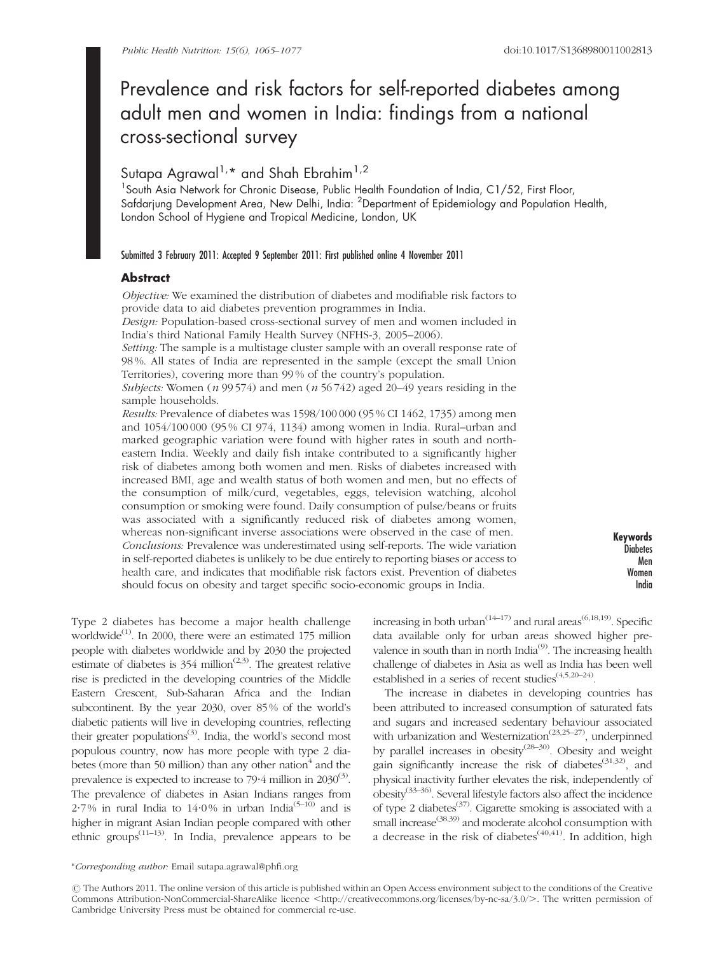# Prevalence and risk factors for self-reported diabetes among adult men and women in India: findings from a national cross-sectional survey

# Sutapa Agrawal<sup>1,\*</sup> and Shah Ebrahim<sup>1,2</sup>

<sup>1</sup> South Asia Network for Chronic Disease, Public Health Foundation of India, C1/52, First Floor, Safdarjung Development Area, New Delhi, India: <sup>2</sup>Department of Epidemiology and Population Health, London School of Hygiene and Tropical Medicine, London, UK

#### Submitted 3 February 2011: Accepted 9 September 2011: First published online 4 November 2011

# Abstract

Objective: We examined the distribution of diabetes and modifiable risk factors to provide data to aid diabetes prevention programmes in India.

Design: Population-based cross-sectional survey of men and women included in India's third National Family Health Survey (NFHS-3, 2005–2006).

Setting: The sample is a multistage cluster sample with an overall response rate of 98 %. All states of India are represented in the sample (except the small Union Territories), covering more than 99 % of the country's population.

Subjects: Women (*n* 99 574) and men (*n* 56 742) aged 20–49 years residing in the sample households.

Results: Prevalence of diabetes was 1598/100 000 (95 % CI 1462, 1735) among men and 1054/100 000 (95 % CI 974, 1134) among women in India. Rural–urban and marked geographic variation were found with higher rates in south and northeastern India. Weekly and daily fish intake contributed to a significantly higher risk of diabetes among both women and men. Risks of diabetes increased with increased BMI, age and wealth status of both women and men, but no effects of the consumption of milk/curd, vegetables, eggs, television watching, alcohol consumption or smoking were found. Daily consumption of pulse/beans or fruits was associated with a significantly reduced risk of diabetes among women, whereas non-significant inverse associations were observed in the case of men. Conclusions: Prevalence was underestimated using self-reports. The wide variation in self-reported diabetes is unlikely to be due entirely to reporting biases or access to health care, and indicates that modifiable risk factors exist. Prevention of diabetes should focus on obesity and target specific socio-economic groups in India.

Keywords **Diabetes** Men Women India

Type 2 diabetes has become a major health challenge worldwide<sup>(1)</sup>. In 2000, there were an estimated 175 million people with diabetes worldwide and by 2030 the projected estimate of diabetes is  $354$  million<sup> $(2,3)$ </sup>. The greatest relative rise is predicted in the developing countries of the Middle Eastern Crescent, Sub-Saharan Africa and the Indian subcontinent. By the year 2030, over 85 % of the world's diabetic patients will live in developing countries, reflecting their greater populations<sup>(3)</sup>. India, the world's second most populous country, now has more people with type 2 diabetes (more than 50 million) than any other nation $4$  and the prevalence is expected to increase to 79 $\cdot$ 4 million in 2030 $(3)$ . The prevalence of diabetes in Asian Indians ranges from 2.7% in rural India to 14.0% in urban India<sup>(5-10)</sup> and is higher in migrant Asian Indian people compared with other ethnic groups<sup> $(11-13)$ </sup>. In India, prevalence appears to be

increasing in both urban<sup> $(14-17)$ </sup> and rural areas<sup>(6,18,19)</sup>. Specific data available only for urban areas showed higher prevalence in south than in north India<sup>(9)</sup>. The increasing health challenge of diabetes in Asia as well as India has been well established in a series of recent studies<sup>(4,5,20–24)</sup>.

The increase in diabetes in developing countries has been attributed to increased consumption of saturated fats and sugars and increased sedentary behaviour associated with urbanization and Westernization<sup> $(23,25-27)$ </sup>, underpinned by parallel increases in obesity<sup>(28–30)</sup>. Obesity and weight gain significantly increase the risk of diabetes<sup>(31,32)</sup>, and physical inactivity further elevates the risk, independently of  $\omega$ obesity<sup>(33–36)</sup>. Several lifestyle factors also affect the incidence of type 2 diabetes<sup> $(37)$ </sup>. Cigarette smoking is associated with a small increase<sup>(38,39)</sup> and moderate alcohol consumption with a decrease in the risk of diabetes<sup> $(40,41)$ </sup>. In addition, high

<sup>\*</sup>Corresponding author: Email sutapa.agrawal@phfi.org

r The Authors 2011. The online version of this article is published within an Open Access environment subject to the conditions of the Creative Commons Attribution-NonCommercial-ShareAlike licence <http://creativecommons.org/licenses/by-nc-sa/3.0/>. The written permission of Cambridge University Press must be obtained for commercial re-use.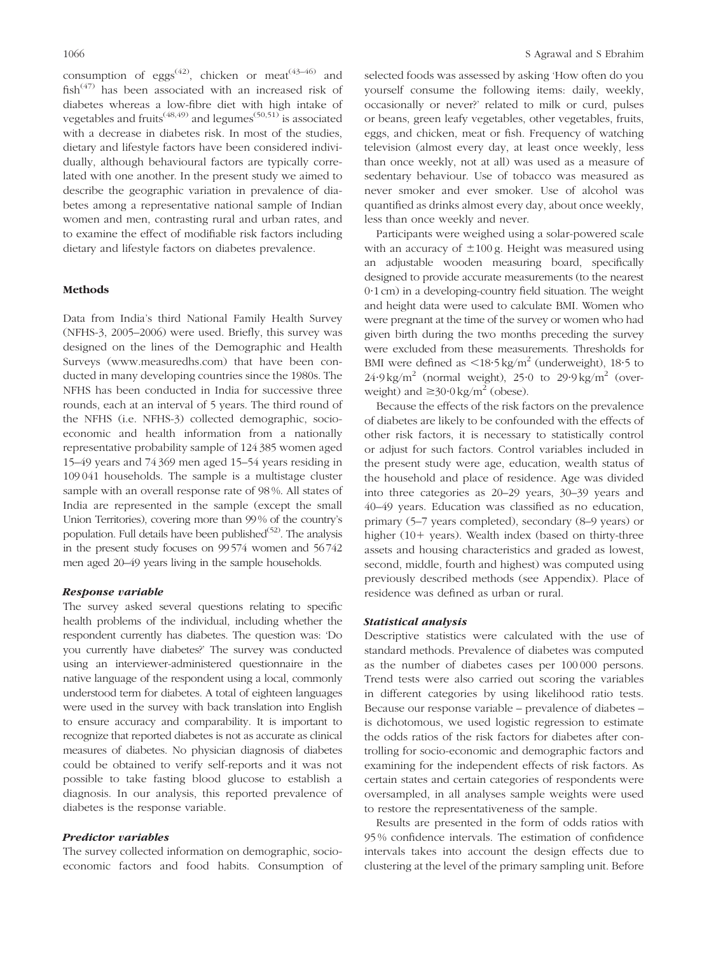consumption of eggs<sup>(42)</sup>, chicken or meat<sup>(43–46)</sup> and fish<sup> $(47)$ </sup> has been associated with an increased risk of diabetes whereas a low-fibre diet with high intake of vegetables and fruits<sup> $(48,49)$ </sup> and legumes<sup>(50,51)</sup> is associated with a decrease in diabetes risk. In most of the studies, dietary and lifestyle factors have been considered individually, although behavioural factors are typically correlated with one another. In the present study we aimed to describe the geographic variation in prevalence of diabetes among a representative national sample of Indian women and men, contrasting rural and urban rates, and to examine the effect of modifiable risk factors including dietary and lifestyle factors on diabetes prevalence.

# Methods

Data from India's third National Family Health Survey (NFHS-3, 2005–2006) were used. Briefly, this survey was designed on the lines of the Demographic and Health Surveys (www.measuredhs.com) that have been conducted in many developing countries since the 1980s. The NFHS has been conducted in India for successive three rounds, each at an interval of 5 years. The third round of the NFHS (i.e. NFHS-3) collected demographic, socioeconomic and health information from a nationally representative probability sample of 124 385 women aged 15–49 years and 74 369 men aged 15–54 years residing in 109 041 households. The sample is a multistage cluster sample with an overall response rate of 98 %. All states of India are represented in the sample (except the small Union Territories), covering more than 99 % of the country's population. Full details have been published $(52)$ . The analysis in the present study focuses on 99 574 women and 56 742 men aged 20–49 years living in the sample households.

#### Response variable

The survey asked several questions relating to specific health problems of the individual, including whether the respondent currently has diabetes. The question was: 'Do you currently have diabetes?' The survey was conducted using an interviewer-administered questionnaire in the native language of the respondent using a local, commonly understood term for diabetes. A total of eighteen languages were used in the survey with back translation into English to ensure accuracy and comparability. It is important to recognize that reported diabetes is not as accurate as clinical measures of diabetes. No physician diagnosis of diabetes could be obtained to verify self-reports and it was not possible to take fasting blood glucose to establish a diagnosis. In our analysis, this reported prevalence of diabetes is the response variable.

#### Predictor variables

The survey collected information on demographic, socioeconomic factors and food habits. Consumption of

selected foods was assessed by asking 'How often do you yourself consume the following items: daily, weekly, occasionally or never?' related to milk or curd, pulses or beans, green leafy vegetables, other vegetables, fruits, eggs, and chicken, meat or fish. Frequency of watching television (almost every day, at least once weekly, less than once weekly, not at all) was used as a measure of sedentary behaviour. Use of tobacco was measured as never smoker and ever smoker. Use of alcohol was quantified as drinks almost every day, about once weekly, less than once weekly and never.

Participants were weighed using a solar-powered scale with an accuracy of  $\pm 100$  g. Height was measured using an adjustable wooden measuring board, specifically designed to provide accurate measurements (to the nearest 0?1 cm) in a developing-country field situation. The weight and height data were used to calculate BMI. Women who were pregnant at the time of the survey or women who had given birth during the two months preceding the survey were excluded from these measurements. Thresholds for BMI were defined as  $\langle 18.5 \text{ kg/m}^2 \text{ (underweight)}$ , 18.5 to  $24.9 \text{ kg/m}^2$  (normal weight),  $25.0$  to  $29.9 \text{ kg/m}^2$  (overweight) and  $\geq 30.0$  kg/m<sup>2</sup> (obese).

Because the effects of the risk factors on the prevalence of diabetes are likely to be confounded with the effects of other risk factors, it is necessary to statistically control or adjust for such factors. Control variables included in the present study were age, education, wealth status of the household and place of residence. Age was divided into three categories as 20–29 years, 30–39 years and 40–49 years. Education was classified as no education, primary (5–7 years completed), secondary (8–9 years) or higher  $(10+)$  years). Wealth index (based on thirty-three assets and housing characteristics and graded as lowest, second, middle, fourth and highest) was computed using previously described methods (see Appendix). Place of residence was defined as urban or rural.

#### Statistical analysis

Descriptive statistics were calculated with the use of standard methods. Prevalence of diabetes was computed as the number of diabetes cases per 100 000 persons. Trend tests were also carried out scoring the variables in different categories by using likelihood ratio tests. Because our response variable – prevalence of diabetes – is dichotomous, we used logistic regression to estimate the odds ratios of the risk factors for diabetes after controlling for socio-economic and demographic factors and examining for the independent effects of risk factors. As certain states and certain categories of respondents were oversampled, in all analyses sample weights were used to restore the representativeness of the sample.

Results are presented in the form of odds ratios with 95 % confidence intervals. The estimation of confidence intervals takes into account the design effects due to clustering at the level of the primary sampling unit. Before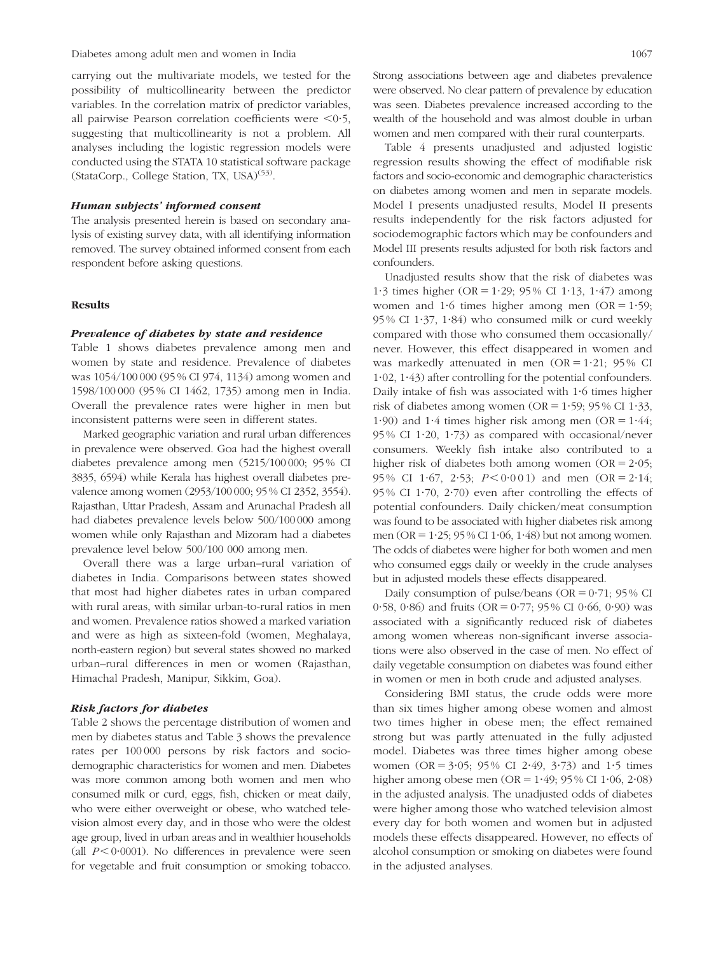carrying out the multivariate models, we tested for the possibility of multicollinearity between the predictor variables. In the correlation matrix of predictor variables, all pairwise Pearson correlation coefficients were  $\leq 0.5$ , suggesting that multicollinearity is not a problem. All analyses including the logistic regression models were conducted using the STATA 10 statistical software package (StataCorp., College Station, TX, USA)<sup>(53)</sup>.

#### Human subjects' informed consent

The analysis presented herein is based on secondary analysis of existing survey data, with all identifying information removed. The survey obtained informed consent from each respondent before asking questions.

#### Results

#### Prevalence of diabetes by state and residence

Table 1 shows diabetes prevalence among men and women by state and residence. Prevalence of diabetes was 1054/100 000 (95 % CI 974, 1134) among women and 1598/100 000 (95 % CI 1462, 1735) among men in India. Overall the prevalence rates were higher in men but inconsistent patterns were seen in different states.

Marked geographic variation and rural urban differences in prevalence were observed. Goa had the highest overall diabetes prevalence among men (5215/100 000; 95 % CI 3835, 6594) while Kerala has highest overall diabetes prevalence among women (2953/100 000; 95 % CI 2352, 3554). Rajasthan, Uttar Pradesh, Assam and Arunachal Pradesh all had diabetes prevalence levels below 500/100 000 among women while only Rajasthan and Mizoram had a diabetes prevalence level below 500/100 000 among men.

Overall there was a large urban–rural variation of diabetes in India. Comparisons between states showed that most had higher diabetes rates in urban compared with rural areas, with similar urban-to-rural ratios in men and women. Prevalence ratios showed a marked variation and were as high as sixteen-fold (women, Meghalaya, north-eastern region) but several states showed no marked urban–rural differences in men or women (Rajasthan, Himachal Pradesh, Manipur, Sikkim, Goa).

#### Risk factors for diabetes

Table 2 shows the percentage distribution of women and men by diabetes status and Table 3 shows the prevalence rates per 100 000 persons by risk factors and sociodemographic characteristics for women and men. Diabetes was more common among both women and men who consumed milk or curd, eggs, fish, chicken or meat daily, who were either overweight or obese, who watched television almost every day, and in those who were the oldest age group, lived in urban areas and in wealthier households (all  $P < 0.0001$ ). No differences in prevalence were seen for vegetable and fruit consumption or smoking tobacco.

Table 4 presents unadjusted and adjusted logistic regression results showing the effect of modifiable risk factors and socio-economic and demographic characteristics on diabetes among women and men in separate models. Model I presents unadjusted results, Model II presents results independently for the risk factors adjusted for sociodemographic factors which may be confounders and Model III presents results adjusted for both risk factors and confounders.

Unadjusted results show that the risk of diabetes was 1.3 times higher (OR = 1.29; 95 % CI 1.13, 1.47) among women and 1.6 times higher among men  $(OR = 1.59)$ ;  $95\%$  CI 1.37, 1.84) who consumed milk or curd weekly compared with those who consumed them occasionally/ never. However, this effect disappeared in women and was markedly attenuated in men  $(OR = 1.21; 95\% \text{ CI})$ 1?02, 1?43) after controlling for the potential confounders. Daily intake of fish was associated with 1.6 times higher risk of diabetes among women (OR =  $1.59$ ; 95 % CI  $1.33$ , 1.90) and 1.4 times higher risk among men  $(OR = 1.44;$  $95\%$  CI 1.20, 1.73) as compared with occasional/never consumers. Weekly fish intake also contributed to a higher risk of diabetes both among women (OR  $= 2.05$ ; 95% CI 1.67, 2.53;  $P < 0.001$ ) and men (OR = 2.14; 95 % CI 1.70, 2.70) even after controlling the effects of potential confounders. Daily chicken/meat consumption was found to be associated with higher diabetes risk among men (OR =  $1.25$ ; 95 % CI 1.06, 1.48) but not among women. The odds of diabetes were higher for both women and men who consumed eggs daily or weekly in the crude analyses but in adjusted models these effects disappeared.

Daily consumption of pulse/beans (OR =  $0.71$ ; 95 % CI 0.58, 0.86) and fruits (OR = 0.77; 95% CI 0.66, 0.90) was associated with a significantly reduced risk of diabetes among women whereas non-significant inverse associations were also observed in the case of men. No effect of daily vegetable consumption on diabetes was found either in women or men in both crude and adjusted analyses.

Considering BMI status, the crude odds were more than six times higher among obese women and almost two times higher in obese men; the effect remained strong but was partly attenuated in the fully adjusted model. Diabetes was three times higher among obese women (OR =  $3.05$ ; 95% CI 2.49,  $3.73$ ) and 1.5 times higher among obese men (OR =  $1.49$ ; 95 % CI  $1.06$ ,  $2.08$ ) in the adjusted analysis. The unadjusted odds of diabetes were higher among those who watched television almost every day for both women and women but in adjusted models these effects disappeared. However, no effects of alcohol consumption or smoking on diabetes were found in the adjusted analyses.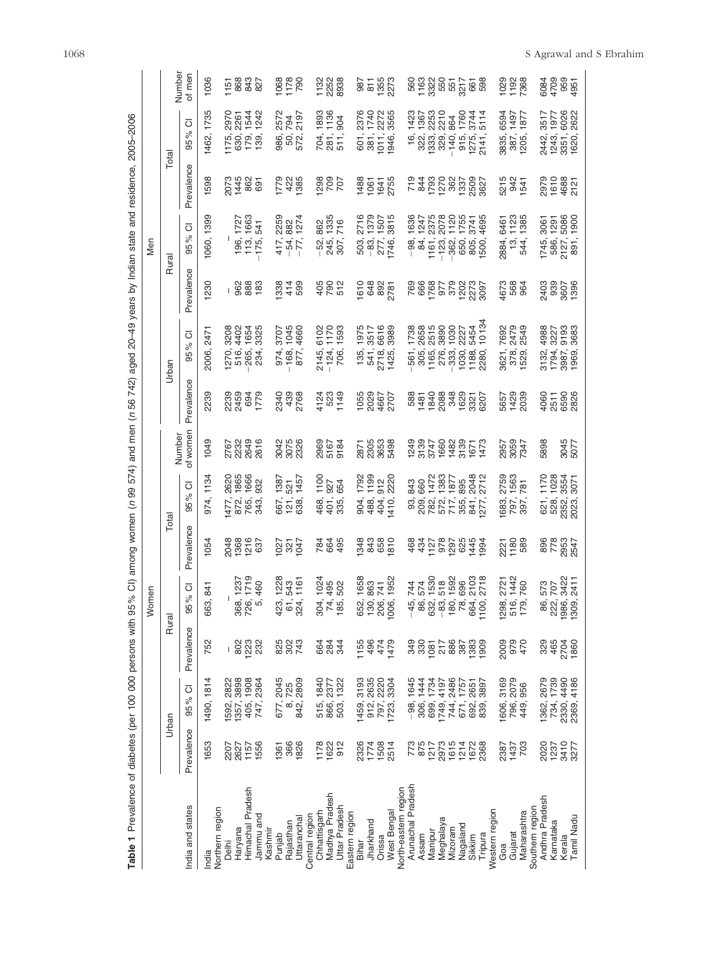| Table 1 Prevalence of diabetes (per 100 000 persons with 95 % CI) among women (n 99 |                              |                                     |                    |                                                       |                              | 574)                                                                                    |                      |                             | and men (n 56 742) aged 20-49 years by Indian state and residence,                                                                                                                                                                                                                                            |                       |                                                                                                                                                                                                                                                                                                                                                                |                                     | 2005-2006                                         |                                    |
|-------------------------------------------------------------------------------------|------------------------------|-------------------------------------|--------------------|-------------------------------------------------------|------------------------------|-----------------------------------------------------------------------------------------|----------------------|-----------------------------|---------------------------------------------------------------------------------------------------------------------------------------------------------------------------------------------------------------------------------------------------------------------------------------------------------------|-----------------------|----------------------------------------------------------------------------------------------------------------------------------------------------------------------------------------------------------------------------------------------------------------------------------------------------------------------------------------------------------------|-------------------------------------|---------------------------------------------------|------------------------------------|
|                                                                                     |                              |                                     |                    | omen<br>≥                                             |                              |                                                                                         |                      |                             |                                                                                                                                                                                                                                                                                                               |                       | Men                                                                                                                                                                                                                                                                                                                                                            |                                     |                                                   |                                    |
|                                                                                     |                              | Urban                               | Rural              |                                                       |                              | <b>Total</b>                                                                            |                      |                             | Urban                                                                                                                                                                                                                                                                                                         | Rural                 |                                                                                                                                                                                                                                                                                                                                                                | Total                               |                                                   |                                    |
| India and states                                                                    | Prevalence                   | 95% CI                              | Prevalence         | ō<br>5%<br>თ                                          | evalence                     | ō<br>$\delta$<br>95                                                                     | of womer<br>Number   | Prevalence                  | ō<br>95%                                                                                                                                                                                                                                                                                                      | Prevalence            | ō<br>ಸಿ<br>95                                                                                                                                                                                                                                                                                                                                                  | revalence                           | $\circ$<br>ಸಿ<br>95                               | Number<br>of men                   |
| India                                                                               | 1653                         | 1490, 1814                          | 752                | 663, 841                                              | 1054                         | 1134<br>974,                                                                            | 1049                 | 2239                        | 2471<br>2006,                                                                                                                                                                                                                                                                                                 | <b>230</b>            | 1060, 1399                                                                                                                                                                                                                                                                                                                                                     | 1598                                | 1735<br>1462,                                     | 1036                               |
| Northern region<br><b>Delhi</b>                                                     | 2207                         |                                     |                    |                                                       |                              |                                                                                         |                      |                             |                                                                                                                                                                                                                                                                                                               |                       |                                                                                                                                                                                                                                                                                                                                                                |                                     |                                                   |                                    |
| Haryana                                                                             | 2627                         | 2822<br>3898<br>1592, ;<br>1357, ;  | $\frac{8}{8}$      |                                                       |                              |                                                                                         |                      |                             |                                                                                                                                                                                                                                                                                                               |                       |                                                                                                                                                                                                                                                                                                                                                                |                                     |                                                   |                                    |
| Himachal Pradesh                                                                    | 1157<br>1556                 | 1908<br>405,                        | 1223<br>232        | 1237<br>1719<br>460<br>88.<br>88.<br>87.              | 2048<br>1368<br>1216<br>1637 | 268<br>286<br>282<br>$472.883$<br>$785.3$                                               | 2023<br>2023<br>2023 | 239<br>2459<br>2459<br>1779 | 824<br>8254<br>8255                                                                                                                                                                                                                                                                                           | । ಜಹಿತಿ<br>1          | 1727<br>1663<br>541<br>196, 75, 175                                                                                                                                                                                                                                                                                                                            | 2074<br>4482<br>691                 | 2974<br>2014<br>2014<br>1<br>1000 m<br>1000 m     | 1588327<br>88327                   |
| Jammu and<br>Kashmir                                                                |                              | 2364<br>747,                        |                    |                                                       |                              |                                                                                         |                      |                             |                                                                                                                                                                                                                                                                                                               |                       |                                                                                                                                                                                                                                                                                                                                                                |                                     |                                                   |                                    |
| Punjab                                                                              | 1361                         | 2045<br>677,                        |                    | 123<br>543<br>1161                                    |                              | 1387<br>521<br>1457                                                                     |                      |                             | 3707<br>1045<br>4660                                                                                                                                                                                                                                                                                          | $3340$<br>$490$       | 259<br>282<br>1274                                                                                                                                                                                                                                                                                                                                             |                                     |                                                   |                                    |
| Rajasthan                                                                           | 366<br>1826                  | 725<br>2809<br>œ                    | 828<br>823         |                                                       | 888                          | 667,<br>12188,                                                                          | 3075<br>3076<br>3028 | 234<br>288<br>288           | 974,<br>168,<br>877,                                                                                                                                                                                                                                                                                          |                       | $\frac{417}{54}$ ,                                                                                                                                                                                                                                                                                                                                             | P2<br>425<br>385                    | 2578<br>2197<br>86.<br>86.21<br>572.              | 067<br>178<br>1790                 |
| Uttaranchal                                                                         |                              | 842,                                |                    |                                                       |                              |                                                                                         |                      |                             |                                                                                                                                                                                                                                                                                                               |                       |                                                                                                                                                                                                                                                                                                                                                                |                                     |                                                   |                                    |
| Central region                                                                      |                              | 1840                                |                    | ო                                                     |                              |                                                                                         |                      |                             |                                                                                                                                                                                                                                                                                                               |                       |                                                                                                                                                                                                                                                                                                                                                                |                                     |                                                   |                                    |
| Madhya Pradesh<br>Chhattisgarh                                                      |                              | 2377<br>515,<br>866,                |                    |                                                       |                              |                                                                                         |                      |                             |                                                                                                                                                                                                                                                                                                               |                       |                                                                                                                                                                                                                                                                                                                                                                |                                     |                                                   |                                    |
| Uttar Pradesh                                                                       | 178<br>1622<br>912           | 1322<br>503,                        | 884<br>884         | $1024$<br>$495$<br>$502$<br><b>SA.</b>                | 884<br>884                   | $100$<br>$584$<br>465,<br>458,                                                          | 2962<br>5167<br>9184 | 123<br>523<br>149           | 6102<br>1170<br>1593<br>2145,<br>- 124,<br>706,                                                                                                                                                                                                                                                               | 982<br>982            | 882<br>135<br>716<br>- 545,<br>245,                                                                                                                                                                                                                                                                                                                            | 1988<br>1989                        | 1893<br>1786<br>904<br><b>SEE</b><br>285          | 132<br>252<br>2938                 |
| Eastern region                                                                      |                              |                                     |                    |                                                       |                              |                                                                                         |                      |                             |                                                                                                                                                                                                                                                                                                               |                       |                                                                                                                                                                                                                                                                                                                                                                |                                     |                                                   |                                    |
| Bihar                                                                               | 2326<br>1774<br>1503<br>2514 | 3193<br>2635<br>1459,<br>912,       | 1155<br>496        | 1658<br>863<br>7952<br>1952<br>652,<br>1906,<br>1906, |                              | 088 020<br>1752<br>2002<br>8844H                                                        | 2875<br>2888<br>2888 | 1055<br>2028<br>2707        | 1975<br>3517<br>66188<br>3989                                                                                                                                                                                                                                                                                 | 161882781             | 503.746<br>- 877.46                                                                                                                                                                                                                                                                                                                                            | 1488<br>1061<br>2755                | 6511-09<br>6851-09<br>6946,                       |                                    |
| Jharkhand                                                                           |                              |                                     |                    |                                                       | 34<br>2008<br>2009           |                                                                                         |                      |                             | 135,<br>547,85<br>271425,                                                                                                                                                                                                                                                                                     |                       | 2716<br>27507<br>2815                                                                                                                                                                                                                                                                                                                                          |                                     | 2372<br>2272<br>2275                              | 87<br>85<br>85<br>87<br>87         |
| Orissa                                                                              |                              | 2220<br>3304<br>797,<br>1723,       | 474<br>1479        |                                                       |                              |                                                                                         |                      |                             |                                                                                                                                                                                                                                                                                                               |                       |                                                                                                                                                                                                                                                                                                                                                                |                                     |                                                   |                                    |
| West Bengal                                                                         |                              |                                     |                    |                                                       |                              |                                                                                         |                      |                             |                                                                                                                                                                                                                                                                                                               |                       |                                                                                                                                                                                                                                                                                                                                                                |                                     |                                                   |                                    |
| North-eastern region                                                                |                              |                                     |                    |                                                       |                              |                                                                                         |                      |                             |                                                                                                                                                                                                                                                                                                               |                       |                                                                                                                                                                                                                                                                                                                                                                |                                     |                                                   |                                    |
| Arunachal Pradesh                                                                   | 773<br>875<br>1217           | 1645<br>္တစ္<br>ုံ ၁၀<br>္ ၁၀       |                    |                                                       |                              |                                                                                         |                      |                             |                                                                                                                                                                                                                                                                                                               |                       |                                                                                                                                                                                                                                                                                                                                                                |                                     |                                                   |                                    |
| Assam                                                                               |                              | 1444                                |                    |                                                       |                              |                                                                                         |                      |                             |                                                                                                                                                                                                                                                                                                               |                       |                                                                                                                                                                                                                                                                                                                                                                |                                     |                                                   |                                    |
| Manipur                                                                             |                              | 1734                                |                    |                                                       |                              |                                                                                         |                      |                             |                                                                                                                                                                                                                                                                                                               |                       |                                                                                                                                                                                                                                                                                                                                                                |                                     |                                                   |                                    |
| Meghalaya                                                                           | 2973                         | 4197<br>1749,                       |                    |                                                       |                              |                                                                                         |                      |                             |                                                                                                                                                                                                                                                                                                               |                       |                                                                                                                                                                                                                                                                                                                                                                |                                     |                                                   |                                    |
| Mizoram                                                                             | 1614<br>1672<br>1678<br>2368 | 2486<br>744, .<br>671,              |                    | 744<br>574 508<br>508 508<br>77 508 508               |                              | 800 22827<br>860 78827<br>867 7880 872<br>នាំ ខ្លួន ដូច ដូច ដូច<br>ខ្លួន ដូច ដូច ដូច ដូ |                      | 88588885555                 | $\begin{array}{l} 1.38 \\ 1.38 \\ 1.39 \\ 1.39 \\ 1.39 \\ 1.39 \\ 1.30 \\ 1.34 \\ 1.34 \\ 1.34 \\ 1.34 \\ 1.34 \\ 1.34 \\ 1.34 \\ 1.34 \\ 1.34 \\ 1.34 \\ 1.34 \\ 1.34 \\ 1.34 \\ 1.34 \\ 1.34 \\ 1.34 \\ 1.34 \\ 1.34 \\ 1.34 \\ 1.34 \\ 1.35 \\ 1.35 \\ 1.36 \\ 1.37 \\ 1.38 \\ 1.39 \\ 1.39 \\ 1.39 \\ 1.$ | 888788878<br>88878888 | 1636<br>1275<br>1276<br>1275<br>1284<br>1084<br>$\begin{array}{c} 98.4 \pm 0.000 \\ - 0.0000 \\ - 0.0000 \\ - 0.0000 \\ - 0.0000 \\ - 0.0000 \\ - 0.0000 \\ - 0.0000 \\ - 0.0000 \\ - 0.0000 \\ - 0.0000 \\ - 0.0000 \\ - 0.0000 \\ - 0.0000 \\ - 0.0000 \\ - 0.0000 \\ - 0.0000 \\ - 0.0000 \\ - 0.0000 \\ - 0.0000 \\ - 0.0000 \\ - 0.0000 \\ - 0.0000 \\ -$ | 노 용도 5 % 8 % % %<br>노 육 & 도 % % % % | $6.8333345574$<br>$-3.833345574$                  | ទី ចិន្ត្រី<br>ខ្លួន មិន ដូច ទី ទី |
| Nagaland                                                                            |                              | 1757                                |                    |                                                       |                              |                                                                                         |                      |                             |                                                                                                                                                                                                                                                                                                               |                       |                                                                                                                                                                                                                                                                                                                                                                |                                     |                                                   |                                    |
| Sikkim                                                                              |                              | 2651<br>692,<br>839,                |                    |                                                       |                              |                                                                                         |                      |                             |                                                                                                                                                                                                                                                                                                               |                       |                                                                                                                                                                                                                                                                                                                                                                |                                     |                                                   |                                    |
| Tripura                                                                             |                              | 3897                                |                    |                                                       |                              |                                                                                         |                      |                             |                                                                                                                                                                                                                                                                                                               |                       |                                                                                                                                                                                                                                                                                                                                                                |                                     |                                                   |                                    |
| Western region                                                                      |                              |                                     |                    |                                                       |                              |                                                                                         |                      |                             |                                                                                                                                                                                                                                                                                                               |                       |                                                                                                                                                                                                                                                                                                                                                                |                                     |                                                   |                                    |
| Goa                                                                                 | 2387                         | 1606,                               |                    |                                                       |                              |                                                                                         |                      |                             |                                                                                                                                                                                                                                                                                                               |                       |                                                                                                                                                                                                                                                                                                                                                                |                                     |                                                   |                                    |
| Gujarat                                                                             | 1437<br>703                  | 3169<br>2079<br>956<br>796,<br>449, | 2009<br>979<br>470 | 2721<br>142<br>760<br>1298,<br>516,<br>179,           | 221<br>1188<br>1188          | 2759<br>1563<br>781<br>887<br>797,                                                      | 2957<br>2062<br>7347 | 5657<br>1429<br>203         | 7692<br>2479<br>2549<br>3621,<br>378,<br>1529,                                                                                                                                                                                                                                                                | 1673<br>568<br>168    | 6461<br>1123<br>1385<br>284.<br>544.<br>544.                                                                                                                                                                                                                                                                                                                   | 215<br>2341<br>241                  | 5597<br>1497<br>1877<br>3835,<br>387,<br>1205,    | 029<br>1928<br>1736                |
| Maharashtra                                                                         |                              |                                     |                    |                                                       |                              |                                                                                         |                      |                             |                                                                                                                                                                                                                                                                                                               |                       |                                                                                                                                                                                                                                                                                                                                                                |                                     |                                                   |                                    |
| Southern region                                                                     |                              |                                     |                    |                                                       |                              |                                                                                         |                      |                             |                                                                                                                                                                                                                                                                                                               |                       |                                                                                                                                                                                                                                                                                                                                                                |                                     |                                                   |                                    |
| Andhra Pradesh                                                                      |                              | 2679                                | 329<br>465         |                                                       |                              |                                                                                         | 5898                 |                             |                                                                                                                                                                                                                                                                                                               |                       |                                                                                                                                                                                                                                                                                                                                                                |                                     |                                                   |                                    |
| Karnataka                                                                           |                              | 1739                                |                    |                                                       |                              |                                                                                         |                      |                             |                                                                                                                                                                                                                                                                                                               |                       |                                                                                                                                                                                                                                                                                                                                                                |                                     |                                                   |                                    |
| Kerala                                                                              | 2027<br>2027<br>2027         | 4186                                | 2704<br>1860       | 5235<br>2023<br>2023<br>စ် လို စွဲ စွဲ<br>စသစ္စ စွဲ   | 896<br>7953<br>2547          | 128821<br>128821<br>323333<br>233333                                                    | 3045<br>5077         | 4060<br>2510<br>2826        | 88<br>827<br>835<br>88<br>3132,<br>17987,<br>1980,                                                                                                                                                                                                                                                            | 380<br>880<br>1396    | 3061<br>1291<br>1900<br>1745,<br>586, 75<br>2125, 891,                                                                                                                                                                                                                                                                                                         | 2979<br>1638<br>2121                | 22572<br>2009<br>2009<br>243,<br>243, 50<br>2850, | 5084<br>1709<br>1951<br>1951       |
| Tamil Nadu                                                                          |                              |                                     |                    |                                                       |                              |                                                                                         |                      |                             |                                                                                                                                                                                                                                                                                                               |                       |                                                                                                                                                                                                                                                                                                                                                                |                                     |                                                   |                                    |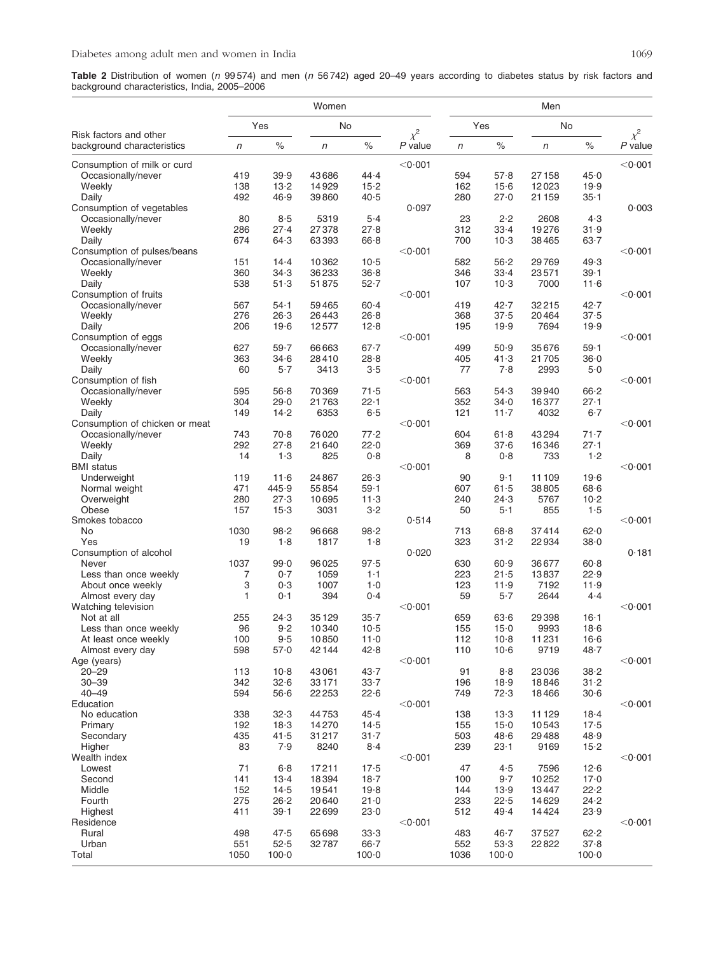Table 2 Distribution of women (n 99574) and men (n 56742) aged 20–49 years according to diabetes status by risk factors and background characteristics, India, 2005–2006

|                                                   |            |                  | Women          |                  |                   |            |              | Men            |                      |                   |
|---------------------------------------------------|------------|------------------|----------------|------------------|-------------------|------------|--------------|----------------|----------------------|-------------------|
| Risk factors and other                            |            | Yes              |                | No               | $\chi^2$          |            | Yes          | No             |                      | $\chi^2$          |
| background characteristics                        | $\sqrt{n}$ | $\%$             | $\sqrt{n}$     | $\%$             | $P$ value         | $\sqrt{n}$ | $\%$         | $\sqrt{n}$     | ℅                    | $P$ value         |
| Consumption of milk or curd                       |            |                  |                |                  | < 0.001           |            |              |                |                      | $<$ 0 $\cdot$ 001 |
| Occasionally/never                                | 419        | 39.9             | 43686          | 44.4             |                   | 594        | 57.8         | 27158          | 45.0                 |                   |
| Weekly                                            | 138        | 13.2             | 14929          | 15.2             |                   | 162        | $15-6$       | 12023          | 19.9                 |                   |
| Daily                                             | 492        | 46.9             | 39860          | 40.5             |                   | 280        | 27.0         | 21 159         | $35 - 1$             |                   |
| Consumption of vegetables                         |            |                  |                |                  | 0.097             |            |              |                |                      | 0.003             |
| Occasionally/never                                | 80         | 8.5              | 5319           | $5-4$            |                   | 23         | 2.2          | 2608           | 4.3                  |                   |
| Weekly                                            | 286        | 27.4<br>64.3     | 27378          | 27.8             |                   | 312        | $33 - 4$     | 19276          | 31.9                 |                   |
| Daily                                             | 674        |                  | 63393          | 66.8             |                   | 700        | $10-3$       | 38465          | $63 - 7$             |                   |
| Consumption of pulses/beans<br>Occasionally/never | 151        | 14.4             | 10362          | $10-5$           | $<$ 0 $\cdot$ 001 | 582        | 56.2         | 29769          | 49.3                 | $<$ 0 $\cdot$ 001 |
| Weekly                                            | 360        | 34.3             | 36233          | 36.8             |                   | 346        | $33 - 4$     | 23571          | $39 - 1$             |                   |
| Daily                                             | 538        | 51.3             | 51875          | 52.7             |                   | 107        | $10-3$       | 7000           | 11.6                 |                   |
| Consumption of fruits                             |            |                  |                |                  | $<$ 0 $\cdot$ 001 |            |              |                |                      | $<$ 0 $\cdot$ 001 |
| Occasionally/never                                | 567        | $54 - 1$         | 59465          | $60 - 4$         |                   | 419        | $42 - 7$     | 32215          | $42 - 7$             |                   |
| Weekly                                            | 276        | 26.3             | 26443          | 26.8             |                   | 368        | 37.5         | 20464          | 37.5                 |                   |
| Daily                                             | 206        | 19.6             | 12577          | 12.8             |                   | 195        | 19.9         | 7694           | 19.9                 |                   |
| Consumption of eggs                               |            |                  |                |                  | $<$ 0 $\cdot$ 001 |            |              |                |                      | $<$ 0 $\cdot$ 001 |
| Occasionally/never                                | 627        | 59.7             | 66663          | $67 - 7$         |                   | 499        | 50.9         | 35676          | 59.1                 |                   |
| Weekly                                            | 363        | 34.6             | 28410          | 28.8             |                   | 405        | 41.3         | 21705          | 36.0                 |                   |
| Daily                                             | 60         | 5.7              | 3413           | 3.5              |                   | 77         | 7.8          | 2993           | 5.0                  |                   |
| Consumption of fish                               |            |                  |                |                  | $<$ 0 $\cdot$ 001 |            |              |                |                      | $<$ 0 $\cdot$ 001 |
| Occasionally/never                                | 595        | 56.8             | 70369          | 71.5             |                   | 563        | 54.3         | 39940          | 66.2                 |                   |
| Weekly                                            | 304        | 29.0             | 21763          | 22.1             |                   | 352        | $34-0$       | 16377          | $27 - 1$             |                   |
| Daily                                             | 149        | 14.2             | 6353           | 6.5              |                   | 121        | $11 - 7$     | 4032           | $6-7$                |                   |
| Consumption of chicken or meat                    |            |                  |                |                  | $<$ 0 $\cdot$ 001 |            |              |                |                      | $<$ 0 $\cdot$ 001 |
| Occasionally/never<br>Weekly                      | 743<br>292 | 70.8<br>27.8     | 76020<br>21640 | 77.2<br>22.0     |                   | 604<br>369 | 61.8<br>37.6 | 43294<br>16346 | $71 - 7$<br>$27 - 1$ |                   |
| Daily                                             | 14         | 1.3              | 825            | 0.8              |                   | 8          | 0.8          | 733            | 1.2                  |                   |
| <b>BMI</b> status                                 |            |                  |                |                  | $<$ 0 $\cdot$ 001 |            |              |                |                      | $<$ 0 $\cdot$ 001 |
| Underweight                                       | 119        | 11.6             | 24867          | 26.3             |                   | 90         | $9-1$        | 11 109         | 19.6                 |                   |
| Normal weight                                     | 471        | 445.9            | 55854          | $59 - 1$         |                   | 607        | 61.5         | 38805          | 68.6                 |                   |
| Overweight                                        | 280        | 27.3             | 10695          | 11.3             |                   | 240        | 24.3         | 5767           | $10 - 2$             |                   |
| Obese                                             | 157        | $15-3$           | 3031           | 3.2              |                   | 50         | $5-1$        | 855            | 1.5                  |                   |
| Smokes tobacco                                    |            |                  |                |                  | 0.514             |            |              |                |                      | $<$ 0 $\cdot$ 001 |
| No                                                | 1030       | 98.2             | 96668          | 98.2             |                   | 713        | 68.8         | 37414          | 62.0                 |                   |
| Yes                                               | 19         | 1.8              | 1817           | 1.8              |                   | 323        | $31 - 2$     | 22934          | $38 - 0$             |                   |
| Consumption of alcohol                            |            |                  |                |                  | 0.020             |            |              |                |                      | 0.181             |
| Never                                             | 1037       | 99.0             | 96025          | 97.5             |                   | 630        | 60.9         | 36677          | $60 - 8$             |                   |
| Less than once weekly                             | 7          | 0.7              | 1059           | $1-1$            |                   | 223        | 21.5         | 13837          | 22.9                 |                   |
| About once weekly                                 | 3          | 0.3              | 1007           | 1.0              |                   | 123        | 11.9         | 7192           | 11.9                 |                   |
| Almost every day                                  | 1          | 0·1              | 394            | 0.4              |                   | 59         | $5-7$        | 2644           | $4-4$                |                   |
| Watching television<br>Not at all                 | 255        | 24.3             | 35129          | $35 - 7$         | $<$ 0 $\cdot$ 001 | 659        | 63.6         | 29398          | $16 - 1$             | $<$ 0 $\cdot$ 001 |
| Less than once weekly                             | 96         | 9.2              | 10340          | $10-5$           |                   | 155        | $15-0$       | 9993           | 18.6                 |                   |
| At least once weekly                              | 100        | 9.5              | 10850          | 11.0             |                   | 112        | $10-8$       | 11231          | 16·6                 |                   |
| Almost every day                                  | 598        | 57.0             | 42144          | 42.8             |                   | 110        | $10-6$       | 9719           | 48.7                 |                   |
| Age (years)                                       |            |                  |                |                  | $<$ 0 $\cdot$ 001 |            |              |                |                      | $<$ 0 $\cdot$ 001 |
| $20 - 29$                                         | 113        | $10-8$           | 43061          | 43.7             |                   | 91         | 8.8          | 23036          | 38.2                 |                   |
| $30 - 39$                                         | 342        | 32.6             | 33171          | $33 - 7$         |                   | 196        | 18.9         | 18846          | $31 - 2$             |                   |
| $40 - 49$                                         | 594        | 56.6             | 22253          | 22.6             |                   | 749        | 72.3         | 18466          | 30.6                 |                   |
| Education                                         |            |                  |                |                  | $<$ 0 $\cdot$ 001 |            |              |                |                      | $<$ 0 $\cdot$ 001 |
| No education                                      | 338        | 32.3             | 44753          | 45.4             |                   | 138        | 13.3         | 11 1 29        | $18 - 4$             |                   |
| Primary                                           | 192        | 18.3             | 14270          | $14-5$           |                   | 155        | $15-0$       | 10543          | $17-5$               |                   |
| Secondary                                         | 435        | 41.5             | 31217          | $31 - 7$         |                   | 503        | 48.6         | 29488          | 48.9                 |                   |
| Higher                                            | 83         | 7.9              | 8240           | 8.4              |                   | 239        | $23 - 1$     | 9169           | $15-2$               |                   |
| Wealth index                                      |            |                  |                |                  | $<$ 0 $\cdot$ 001 |            |              |                |                      | $<$ 0 $\cdot$ 001 |
| Lowest                                            | 71         | 6.8              | 17211          | $17-5$           |                   | 47         | 4.5          | 7596           | 12.6                 |                   |
| Second                                            | 141        | $13-4$           | 18394          | 18.7             |                   | 100        | $9-7$        | 10252          | 17.0                 |                   |
| Middle                                            | 152<br>275 | 14.5             | 19541          | 19.8             |                   | 144        | 13.9         | 13447          | 22.2                 |                   |
| Fourth<br>Highest                                 | 411        | 26.2<br>$39 - 1$ | 20640<br>22699 | $21 - 0$<br>23.0 |                   | 233<br>512 | 22.5<br>49.4 | 14629<br>14424 | 24.2<br>23.9         |                   |
| Residence                                         |            |                  |                |                  | $<$ 0 $\cdot$ 001 |            |              |                |                      | $<$ 0 $\cdot$ 001 |
| Rural                                             | 498        | 47.5             | 65698          | 33.3             |                   | 483        | 46.7         | 37527          | 62.2                 |                   |
| Urban                                             | 551        | 52.5             | 32787          | $66 - 7$         |                   | 552        | 53.3         | 22822          | 37.8                 |                   |
| Total                                             | 1050       | $100 - 0$        |                | $100 - 0$        |                   | 1036       | $100 - 0$    |                | $100-0$              |                   |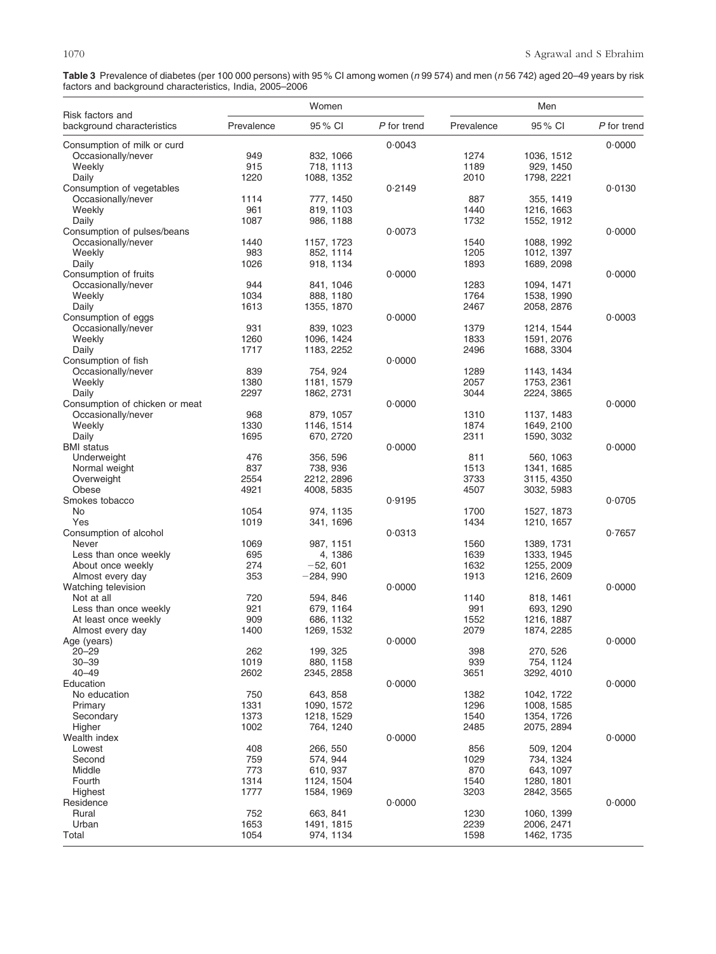**Table 3** Prevalence of diabetes (per 100 000 persons) with 95 % CI among women (*n* 99 574) and men (*n* 56 742) aged 20–49 years by risk factors and background characteristics, India, 2005–2006

|                                                |             | Women                    |             |              | Men                      |             |
|------------------------------------------------|-------------|--------------------------|-------------|--------------|--------------------------|-------------|
| Risk factors and<br>background characteristics | Prevalence  | 95% CI                   | P for trend | Prevalence   | 95 % CI                  | P for trend |
| Consumption of milk or curd                    |             |                          | 0.0043      |              |                          | 0.0000      |
| Occasionally/never                             | 949         | 832, 1066                |             | 1274         | 1036, 1512               |             |
| Weekly                                         | 915         | 718, 1113                |             | 1189         | 929, 1450                |             |
| Daily                                          | 1220        | 1088, 1352               |             | 2010         | 1798, 2221               |             |
| Consumption of vegetables                      |             |                          | 0.2149      |              |                          | 0.0130      |
| Occasionally/never                             | 1114        | 777, 1450                |             | 887          | 355, 1419                |             |
| Weekly                                         | 961         | 819, 1103                |             | 1440         | 1216, 1663               |             |
| Daily<br>Consumption of pulses/beans           | 1087        | 986, 1188                | 0.0073      | 1732         | 1552, 1912               | 0.0000      |
| Occasionally/never                             | 1440        | 1157, 1723               |             | 1540         | 1088, 1992               |             |
| Weekly                                         | 983         | 852, 1114                |             | 1205         | 1012, 1397               |             |
| Daily                                          | 1026        | 918, 1134                |             | 1893         | 1689, 2098               |             |
| Consumption of fruits                          |             |                          | 0.0000      |              |                          | 0.0000      |
| Occasionally/never                             | 944         | 841, 1046                |             | 1283         | 1094, 1471               |             |
| Weekly                                         | 1034        | 888, 1180                |             | 1764         | 1538, 1990               |             |
| Daily                                          | 1613        | 1355, 1870               |             | 2467         | 2058, 2876               |             |
| Consumption of eggs                            |             |                          | 0.0000      |              |                          | 0.0003      |
| Occasionally/never                             | 931         | 839, 1023                |             | 1379         | 1214, 1544               |             |
| Weekly                                         | 1260        | 1096, 1424               |             | 1833         | 1591, 2076               |             |
| Daily                                          | 1717        | 1183, 2252               |             | 2496         | 1688, 3304               |             |
| Consumption of fish                            |             |                          | 0.0000      |              |                          |             |
| Occasionally/never<br>Weekly                   | 839<br>1380 | 754, 924                 |             | 1289<br>2057 | 1143, 1434<br>1753, 2361 |             |
| Daily                                          | 2297        | 1181, 1579<br>1862, 2731 |             | 3044         | 2224, 3865               |             |
| Consumption of chicken or meat                 |             |                          | 0.0000      |              |                          | 0.0000      |
| Occasionally/never                             | 968         | 879, 1057                |             | 1310         | 1137, 1483               |             |
| Weekly                                         | 1330        | 1146, 1514               |             | 1874         | 1649, 2100               |             |
| Daily                                          | 1695        | 670, 2720                |             | 2311         | 1590, 3032               |             |
| <b>BMI</b> status                              |             |                          | 0.0000      |              |                          | 0.0000      |
| Underweight                                    | 476         | 356, 596                 |             | 811          | 560, 1063                |             |
| Normal weight                                  | 837         | 738, 936                 |             | 1513         | 1341, 1685               |             |
| Overweight                                     | 2554        | 2212, 2896               |             | 3733         | 3115, 4350               |             |
| Obese                                          | 4921        | 4008, 5835               |             | 4507         | 3032, 5983               |             |
| Smokes tobacco                                 |             |                          | 0.9195      |              |                          | 0.0705      |
| No                                             | 1054        | 974, 1135                |             | 1700         | 1527, 1873               |             |
| Yes                                            | 1019        | 341, 1696                |             | 1434         | 1210, 1657               |             |
| Consumption of alcohol                         |             |                          | 0.0313      |              |                          | 0.7657      |
| Never<br>Less than once weekly                 | 1069<br>695 | 987, 1151<br>4, 1386     |             | 1560<br>1639 | 1389, 1731<br>1333, 1945 |             |
| About once weekly                              | 274         | $-52, 601$               |             | 1632         | 1255, 2009               |             |
| Almost every day                               | 353         | -284, 990                |             | 1913         | 1216, 2609               |             |
| Watching television                            |             |                          | 0.0000      |              |                          | 0.0000      |
| Not at all                                     | 720         | 594, 846                 |             | 1140         | 818, 1461                |             |
| Less than once weekly                          | 921         | 679, 1164                |             | 991          | 693, 1290                |             |
| At least once weekly                           | 909         | 686, 1132                |             | 1552         | 1216, 1887               |             |
| Almost every day                               | 1400        | 1269, 1532               |             | 2079         | 1874, 2285               |             |
| Age (years)                                    |             |                          | 0.0000      |              |                          | 0.0000      |
| $20 - 29$                                      | 262         | 199, 325                 |             | 398          | 270, 526                 |             |
| $30 - 39$                                      | 1019        | 880, 1158                |             | 939          | 754, 1124                |             |
| $40 - 49$<br>Education                         | 2602        | 2345, 2858               | 0.0000      | 3651         | 3292, 4010               | 0.0000      |
| No education                                   | 750         | 643, 858                 |             | 1382         | 1042, 1722               |             |
| Primary                                        | 1331        | 1090, 1572               |             | 1296         | 1008, 1585               |             |
| Secondary                                      | 1373        | 1218, 1529               |             | 1540         | 1354, 1726               |             |
| Higher                                         | 1002        | 764, 1240                |             | 2485         | 2075, 2894               |             |
| Wealth index                                   |             |                          | 0.0000      |              |                          | 0.0000      |
| Lowest                                         | 408         | 266, 550                 |             | 856          | 509, 1204                |             |
| Second                                         | 759         | 574, 944                 |             | 1029         | 734, 1324                |             |
| Middle                                         | 773         | 610, 937                 |             | 870          | 643, 1097                |             |
| Fourth                                         | 1314        | 1124, 1504               |             | 1540         | 1280, 1801               |             |
| Highest                                        | 1777        | 1584, 1969               |             | 3203         | 2842, 3565               |             |
| Residence                                      |             |                          | 0.0000      |              |                          | 0.0000      |
| Rural                                          | 752         | 663, 841                 |             | 1230         | 1060, 1399               |             |
| Urban                                          | 1653        | 1491, 1815               |             | 2239         | 2006, 2471               |             |
| Total                                          | 1054        | 974, 1134                |             | 1598         | 1462, 1735               |             |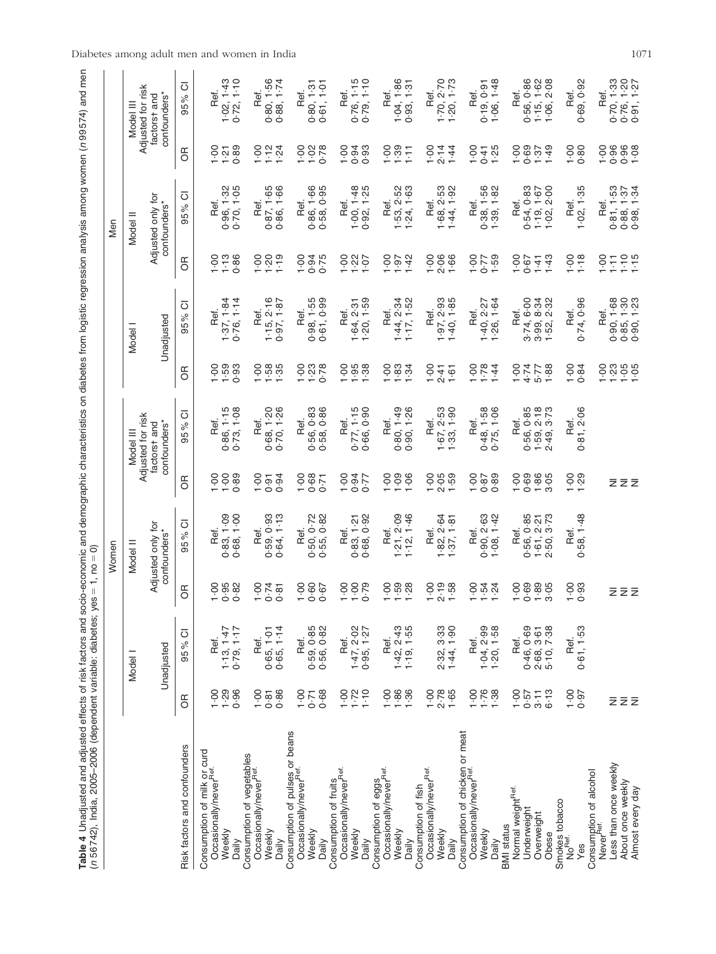| ı<br>l<br>ļ<br>I<br>ׇ֚֘֡<br>ļ<br>さこく<br>l<br>i<br>í<br>١<br>l<br>l<br>İ<br>ï<br>II<br>֚֚֬<br>š<br>ׇ֚֓֡<br>֚֘<br>ׇ֚֘֡<br>$\overline{1}$<br>l<br>í<br>jac<br>β<br>i<br>5<br>ŕ<br>l<br>I<br>١<br>İ<br>ī<br>Ś<br>Ó<br>l<br>ļ<br>l<br>Ï<br>ļ<br>Ì<br>ă<br>l<br>i<br>į<br>j<br>Ì<br>i<br>$\ddot{\phantom{a}}$<br>j<br>i<br>ׇ֚֘֡<br>ׇ֚֬֕<br>Ó<br>١<br>$\ddot{\phantom{a}}$<br>å<br>らりりょう<br>くしく<br>I<br>Ś<br>5<br>l<br>١<br>i<br>ļ<br>.<br>.<br>.<br>֧֛֦֧֦֧֧ׅ֧֧֧֛֛֧֛֚֚֚֚֚֚֚֚֚֚֚֚֚֚֚֚֚֚֝֜֜֜֜֜֝֜<br>ı<br>į<br>l<br>$\frac{1}{3}$<br>l |
|------------------------------------------------------------------------------------------------------------------------------------------------------------------------------------------------------------------------------------------------------------------------------------------------------------------------------------------------------------------------------------------------------------------------------------------------------------------------------------------------------------------------------|
|                                                                                                                                                                                                                                                                                                                                                                                                                                                                                                                              |
|                                                                                                                                                                                                                                                                                                                                                                                                                                                                                                                              |
|                                                                                                                                                                                                                                                                                                                                                                                                                                                                                                                              |
|                                                                                                                                                                                                                                                                                                                                                                                                                                                                                                                              |
|                                                                                                                                                                                                                                                                                                                                                                                                                                                                                                                              |
|                                                                                                                                                                                                                                                                                                                                                                                                                                                                                                                              |
|                                                                                                                                                                                                                                                                                                                                                                                                                                                                                                                              |
|                                                                                                                                                                                                                                                                                                                                                                                                                                                                                                                              |
|                                                                                                                                                                                                                                                                                                                                                                                                                                                                                                                              |
|                                                                                                                                                                                                                                                                                                                                                                                                                                                                                                                              |
|                                                                                                                                                                                                                                                                                                                                                                                                                                                                                                                              |

|                                                                   |                    |                              |                           | Nomen                             |                  |                                |                    |               |                   | Men                               |                  |                                |
|-------------------------------------------------------------------|--------------------|------------------------------|---------------------------|-----------------------------------|------------------|--------------------------------|--------------------|---------------|-------------------|-----------------------------------|------------------|--------------------------------|
|                                                                   |                    | Model I                      |                           | Model II                          |                  | Adjusted for risk<br>Model III |                    | Model I       |                   | Model II                          |                  | Adjusted for risk<br>Model III |
|                                                                   |                    | Unadjusted                   |                           | Adjusted only for<br>confounders* |                  | confounders*<br>factorst and   |                    | Unadjusted    |                   | Adjusted only for<br>confounders* |                  | confounders*<br>factorst and   |
| Risk factors and confounders                                      | $\overline{5}$     | ਠ<br>95%                     | 6R                        | ō<br>95%                          | ЭŘ               | ō<br>95%                       | 6R                 | ਠ<br>95%      | 6R                | ō<br>95%                          | E                | ō<br>95%                       |
| Consumption of milk or curd<br>Occasionally/never <sup>net.</sup> |                    |                              |                           |                                   |                  |                                |                    |               |                   |                                   |                  |                                |
|                                                                   | $\frac{1}{2}$      | Ref.                         | $00 - 1$                  | Ref.                              | $00 - 1$         | Ref.                           | $\frac{0}{1}$      | Ref.          | $\frac{8}{1}$     | Ref.                              | $00 - 1$         | Ref.                           |
| Weekly                                                            | $1.29$<br>0.96     | 1.13, 1.47                   | $0.95$<br>$0.82$          | 0.83, 1.09                        | $00 - 1$         | 0.86, 1.15                     | 1.59               | 1.37, 1.84    | $1 - 13$          | 0.96, 1.32                        | 1.21             | 1.02, 1.43                     |
| Daily                                                             |                    | 0.79, 1.17                   |                           | 0.68, 1.00                        | 0.89             | 0.73, 1.08                     | 0.93               | 0.76, 1.14    | 0.86              | 0.70, 1.05                        | 0.89             | 0.72, 1.10                     |
| Consumption of vegetables                                         |                    |                              |                           |                                   |                  |                                |                    |               |                   |                                   |                  |                                |
| Occasionally/never <sup>Ref.</sup>                                | $-00$              | Ref.                         | $378$<br>$-0.5$<br>$-0.5$ | Ref.                              | $-00$            | Ref.                           | $\frac{0}{1}$      | Ref.          | $00 - 1$          | Ref.                              | ò.               | Ref.                           |
| Weekly                                                            | 0.81               | 0.65, 1.01<br>0.65, 1.14     |                           | 0.59, 0.93                        | 0.91             | 0.68, 1.20                     | $1.58$<br>$1.35$   | 1.15, 2.16    | 1.20              | 0.87, 1.65                        | 1.12             | 0.80, 1.56                     |
| Daily                                                             | 0.86               |                              |                           | 0.64, 1.13                        | 0.94             | 0.70, 1.26                     |                    | 0.97, 1.87    | 1.19              | 0.86, 1.66                        | 1.24             | 0.88, 1.74                     |
| Consumption of pulses or beans                                    |                    |                              |                           |                                   |                  |                                |                    |               |                   |                                   |                  |                                |
| Occasionally/never <sup>Ref.</sup>                                | $-0.0$             | Ref.                         | $-00$                     | Ref.                              | $-00$            | Ref.                           | $00 - 1$           | Ref.          | $-00$             | Ref.                              | $00 - 1$         | Ref.                           |
| Weekly                                                            | 0.71               | 0.59, 0.85                   | $0.60$<br>0.67            | 0.50, 0.72                        | 0.68             | 0.56, 0.83                     | 1.23               | 0.98, 1.55    | 0.75              | 0.86, 1.66                        | 1.02             | 0.80, 1.31                     |
| Daily                                                             | 0.68               | 0.56, 0.82                   |                           | 0.55, 0.82                        | 0.71             | 0.58, 0.86                     | 0.78               | 0.61, 0.99    |                   | 0.58, 0.95                        | 0.78             | 0.61, 1.01                     |
| Consumption of fruits                                             |                    |                              |                           |                                   |                  |                                |                    |               |                   |                                   |                  |                                |
| Occasionally/never <sup>Ref.</sup>                                | $00 - 1$           | Ref.                         | $00 - 1$                  | Ref.                              | $-00$            | Ref.                           | $\frac{8}{1}$      | Ref.          | $00 - 1$          | Ref.                              | 1.00             | Ref.                           |
| Weekly                                                            | $1.72$<br>$1.10$   | $1.47, 2.02$<br>0.95, $1.27$ | $00 - 1$                  | 0.83, 1.21                        | 47.00            | 0.77, 1.15                     | $\frac{36}{1}$     | 1.64, 2.31    | $1.22$<br>$1.07$  | 1.00, 1.48                        | $0.94$<br>$0.93$ | 0.76, 1.15                     |
| Daily                                                             |                    |                              | 0.79                      | 0.68, 0.92                        |                  | 0.66, 0.90                     |                    | 1.20, 1.59    |                   | 0.92, 1.25                        |                  | 0.79, 1.10                     |
| Occasionally/never <sup>Ref.</sup><br>Consumption of eggs         | $00 - 1$           | Ref.                         | $00 - 1$                  | Ref.                              | $00 - 1$         | Ref.                           | $00 - 1$           | Ref.          | $00 - 1$          | Ref.                              | $00 - 1$         | Ref.                           |
| Weekly                                                            |                    | 1.42, 2.43                   |                           | 1.21, 2.09                        |                  | 0.80, 1.49                     |                    | 1.44, 2.34    | 1.97              | 1.53, 2.52                        | 1.39             | 1.04, 1.86                     |
| Daily                                                             | $1.36$<br>$1.36$   | 1.19, 1.55                   | $1.59$<br>$1.28$          | 1.12, 1.46                        | 1.09             | 0.90, 1.26                     | $\frac{1}{3}$ . 34 | 1.17, 1.52    | $\ddot{ }$        | 1.24, 1.63                        | $\overline{1}$   | 0.93, 1.31                     |
| Consumption of fish                                               |                    |                              |                           |                                   |                  |                                |                    |               |                   |                                   |                  |                                |
| Occasionally/never <sup>Ref.</sup>                                | $-00$              |                              | $00 - 1$                  | Ref.                              | 1.00             | Ref.                           | $\frac{0}{1}$      | Ref.          | $-00$             | Ref.                              | $-00$            | Ref.                           |
| Weekly                                                            | $2.78$<br>1.65     | 2.32, 3.33                   | $2.19$<br>1.58            | 1.82, 2.64                        | $2.05$<br>1.59   | 1.67, 2.53                     | 2.41               | 1.97, 2.93    | 2.06              | 1.68, 2.53                        | 2.14             | $1 - 70, 2 - 70$               |
| Daily                                                             |                    | 1.44, 1.90                   |                           | 1.37, 1.81                        |                  | 1.33, 1.90                     | 1.61               | 1.40, 1.85    | 1.66              | 1.44, 1.92                        | 1.44             | 1.20, 1.73                     |
| Consumption of chicken or meat                                    |                    |                              |                           |                                   |                  |                                |                    |               |                   |                                   |                  |                                |
| Occasionally/never <sup>Ref.</sup>                                | $00 - 1$           | Ref.                         | $00 - 1$                  | Ref.                              | $-00$            | Ref.                           | $00 - 1$           | Ref.          | $-00$             | Ref.                              | 1.00             | Ref.                           |
| Weekly                                                            | 1.76               | 1.04, 2.99                   | $1.54$<br>$1.24$          | 0.90, 2.63                        | 0.87             | 0.48, 1.58                     | 1.78               | 1.40, 2.27    | 7.59              | 0.38, 1.56                        | 0.41             | 0.19, 0.91                     |
| <b>BMI</b> status<br>Daily                                        | 1.38               | $1 - 20, 1 - 58$             |                           | 1.08, 1.42                        | 0.89             | 0.75, 1.06                     | 1.44               | 1.26, 1.64    |                   | 1.39, 1.82                        | 1.25             | 1.06, 1.48                     |
| Normal weight <sup>Ref.</sup>                                     | $-00$              | Ref.                         | $00 - 1$                  | Ref.                              | $-00$            | Ref.                           | $-00$              | Ref.          | $-00$             | Ref.                              | $-1.00$          | Ref.                           |
| Underweight                                                       | 0.57               | 0.46, 0.69                   | 0.69                      | 0.56, 0.85                        | 0.69             | 0.56, 0.85                     | 4.74               | 3.74, 6.00    | 0.67              | 0.54, 0.83                        | 0.69             | 0.56, 0.86                     |
| Overweight                                                        | 3.11               |                              |                           |                                   | 1.86             | 1.59, 2.18                     | $5 - 77$           | 3.99, 8.34    | 1.41              | 1.19, 1.67                        | 1.37             | 1.15, 1.62                     |
| Obese                                                             | $6 - 13$           | 2.68, 3.61<br>5.10, 7.38     | $1.89$<br>$3.05$          | $1.61, 2.21$<br>$2.50, 3.73$      | 3.05             | 2.49, 3.73                     | 1.88               | 1.52, 2.32    | 1.43              | $1 - 02, 2 - 00$                  | 1.49             | 1.06, 2.08                     |
|                                                                   |                    |                              |                           |                                   |                  |                                |                    |               |                   |                                   |                  |                                |
| Smokes tobacco<br>No <sup>Ref.</sup>                              |                    | Ref.                         |                           | Ref.                              |                  | Ref.                           | $00 - 1$           | Ref.          |                   | Ref.                              | $-00$            | Ref.                           |
| Yes                                                               | $7.60 - 100 - 100$ | 0.61, 1.53                   | 0.93                      | 0.58, 1.48                        | $1.29$<br>$1.29$ | 0.81, 2.06                     | 0.84               | 0.74, 0.96    | $\frac{6}{1}$ .18 | 1.02, 1.35                        | 0.80             | 0.69, 0.92                     |
| Consumption of alcohol<br>Never <sup>Ref.</sup>                   |                    |                              |                           |                                   |                  |                                |                    | Ref.          | $00 - 1$          | Ref.                              | 1.00             | Ref.                           |
| Less than once weekly                                             | Ξ                  |                              |                           |                                   |                  |                                |                    | 0.90, 1.68    | $\overline{11}$   | 0.81, 1.53                        | 0.96             | 0.70, 1.33                     |
| About once weekly                                                 | $\bar{z}$          |                              | zzz                       |                                   | zzz              |                                | 5888               | 1.30<br>0.85, | $1.10$<br>$1.15$  | $0.88, 1.37$<br>$0.98, 1.34$      | $0.96$<br>1.08   | 0.76, 1.20                     |
| Almost every day                                                  |                    |                              |                           |                                   |                  |                                |                    | 0.90, 1.23    |                   |                                   |                  | 0.91, 1.27                     |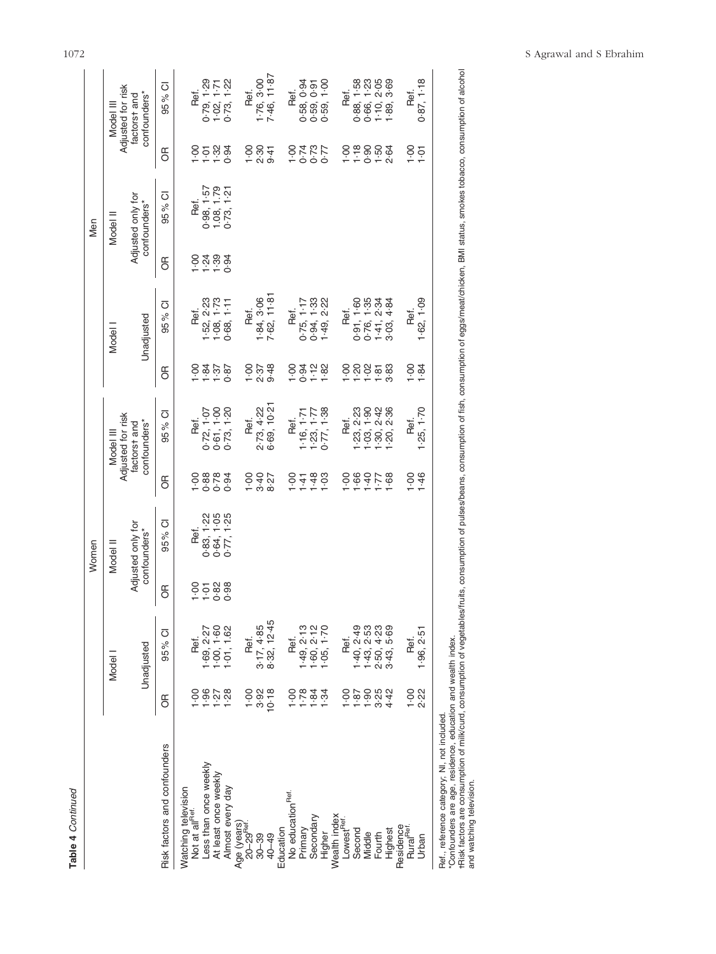| 4 |
|---|
|   |

|                                            |                                                                     |                              |                   | Women                             |                  |                                                                               |                       |                              |                   | Men                               |                                           |                                |
|--------------------------------------------|---------------------------------------------------------------------|------------------------------|-------------------|-----------------------------------|------------------|-------------------------------------------------------------------------------|-----------------------|------------------------------|-------------------|-----------------------------------|-------------------------------------------|--------------------------------|
|                                            |                                                                     | Model                        |                   | Model II                          |                  | Adjusted for risk<br>Model II                                                 |                       | Model                        |                   | Model II                          |                                           | Adjusted for risk<br>Model III |
|                                            |                                                                     | Unadjusted                   |                   | Adjusted only for<br>confounders* |                  | confounders*<br>factorst and                                                  |                       | Unadjusted                   |                   | Adjusted only for<br>confounders* |                                           | confounders*<br>factorst and   |
| Risk factors and confounders               | $\frac{1}{2}$                                                       | 95% CI                       | Б                 | 95% CI                            | Б                | 95% CI                                                                        | ЭŘ                    | 95% CI                       | Б                 | 95 % CI                           | $\frac{1}{\sqrt{2}}$                      | 95% CI                         |
| Watching television                        |                                                                     |                              |                   |                                   |                  |                                                                               |                       |                              |                   |                                   |                                           |                                |
| Not at all <sup>Ref.</sup>                 | ခဲ့                                                                 | Ref.                         | $00 - 1$          | Ref.                              | $rac{1}{1}$      | Ref.                                                                          | Ş                     | Ref.                         | $\frac{8}{1}$     | Ref.                              | $\frac{8}{1}$                             | Ref.                           |
| Less than once weekly                      | 1.96                                                                | $-69, 2.27$                  | $\frac{588}{100}$ | 0.83, 1.22                        | 0.78             | $10-7$<br>0.72, 1                                                             | $\cdot$ <sup>84</sup> | $-52, 2-23$                  | $\frac{24}{1.39}$ | $0.98, 1.57$<br>1.08, 1.79        | 588                                       | 1.29<br>0.79                   |
| At least once weekly                       | $1.27$<br>$1.28$                                                    | $-00, 1.60$                  |                   | 1.05<br>0.64, 1                   |                  | 0.61, 1.00                                                                    | 1.37                  | $1 - 73$                     |                   |                                   |                                           | 1.02, 1.71                     |
| Almost every day                           |                                                                     | $-01, 1.62$                  |                   | 0.77, 1.25                        | 0.94             | 0.73, 1.20                                                                    | 0.87                  | $1.08, 1.73$<br>$0.68, 1.11$ | 0.94              | 0.73, 1.21                        |                                           | 0.73, 1.22                     |
| Age (years)                                |                                                                     |                              |                   |                                   |                  |                                                                               |                       |                              |                   |                                   |                                           |                                |
| 20-29 <sup>Ref.</sup>                      | $00 - 1$                                                            | Ref.                         |                   |                                   |                  | Ref.                                                                          | $rac{6}{1}$           | Ref.                         |                   |                                   |                                           | Ref.                           |
| $30 - 39$                                  | 3.92                                                                | 3.17, 4.85                   |                   |                                   |                  | 2.73, 4.22                                                                    |                       | 1.84, 3.06                   |                   |                                   |                                           | $1-76, 3-00$                   |
| 40-49                                      | 10.18                                                               | 8.32, 12.45                  |                   |                                   | $7.800$<br>0.427 | 6-69, 10-21                                                                   | $2.37$<br>9.48        | 7.62, 11.81                  |                   |                                   | $\frac{5}{6}$ $\frac{6}{9}$ $\frac{4}{9}$ | 7.46, 11.87                    |
| Education                                  |                                                                     |                              |                   |                                   |                  |                                                                               |                       |                              |                   |                                   |                                           |                                |
| No education <sup>Ref.</sup>               | $\frac{8}{1}$                                                       | Ref.                         |                   |                                   | $\frac{8}{1}$    | Ref.                                                                          | $rac{1}{1}$           | Ref.                         |                   |                                   |                                           | Ref.                           |
| Primary                                    | $1 - 78$                                                            |                              |                   |                                   | $\cdot$ 41       | 1.71<br>1.16,7                                                                |                       | 0.75, 1.17                   |                   |                                   |                                           | 0.58, 0.94                     |
| Secondary                                  | 1.84                                                                | $1.49, 2.13$<br>$1.60, 2.12$ |                   |                                   | $-48$            | 1.23, 1.77                                                                    | $0.78$<br>$0.78$      | 0.94, 1.33                   |                   |                                   | 1275<br>1276<br>1275                      | 0.59, 0.91                     |
| Higher                                     | 1.34                                                                | $-05, 1 - 70$                |                   |                                   | $1 - 03$         | 0.77, 1.38                                                                    |                       | 1.49, 2.22                   |                   |                                   |                                           | 0.59, 1.00                     |
| Wealth index                               |                                                                     |                              |                   |                                   |                  |                                                                               |                       |                              |                   |                                   |                                           |                                |
| Lowest <sup>Ref.</sup>                     | $rac{1}{1}$                                                         | Ref.                         |                   |                                   | ò.               | Ref.                                                                          | 이.<br>-               | Ref.                         |                   |                                   |                                           | Ref.                           |
| Second                                     | 1.87                                                                | 1.40, 2.49                   |                   |                                   | $-66$            |                                                                               |                       | 0.91, 1.60                   |                   |                                   |                                           | 0.88, 1.58                     |
| Middle                                     | $\frac{1}{3}$ 35<br>$\frac{5}{3}$<br>$\frac{5}{3}$<br>$\frac{5}{4}$ | $-43, 2.53$                  |                   |                                   | $\frac{22}{9}$   |                                                                               | $7.788$<br>$7.788$    | 0.76, 1.35                   |                   |                                   |                                           | 0.66, 1.23                     |
| Fourth                                     |                                                                     |                              |                   |                                   |                  |                                                                               |                       | 1.41, 2.34                   |                   |                                   |                                           | 1.10, 2.05                     |
| Highest                                    |                                                                     | 2.50, 4.23                   |                   |                                   | $-68$            | $1.23$ , $2.3$ , $3.9$<br>$1.30$ , $2.4$<br>$1.30$ , $2.36$<br>$1.20$ , $2.5$ |                       | 3.03, 4.84                   |                   |                                   |                                           | $-89, 3 - 69$                  |
|                                            |                                                                     |                              |                   |                                   |                  |                                                                               |                       |                              |                   |                                   |                                           |                                |
| Residence<br>Rural <sup>Ref.</sup>         | $1.00$<br>2.22                                                      | Ref.                         |                   |                                   | $rac{1}{2}$      | Ref.                                                                          | $\frac{8}{1}$         | Ref.                         |                   |                                   | $\frac{1}{2}$                             | Ref.                           |
| Urban                                      |                                                                     | 1.96, 2.51                   |                   |                                   | $-46$            | 1.25, 1.70                                                                    | 1.84                  | 1.62, 1.09                   |                   |                                   | $\overline{1}$                            | 0.87, 1.18                     |
| Ref., reference category; NI, not included |                                                                     |                              |                   |                                   |                  |                                                                               |                       |                              |                   |                                   |                                           |                                |

\*Confounders are age, residence, education and wealth index.

\*Confounders are age, residence, education and wealth index.<br>†Risk factors are oonsumption of milk/curd, consumption of symethes/fruits, consumption of fish, consumption of eggs/meat/chicken, BMI status, smokes tobacco, co -Risk factors are consumption of milk/curd, consumption of vegetables/fruits, consumption of pulses/beans, consumption of fish, consumption of eggs/meat/chicken, BMI status, smokes tobacco, consumption of alcohol and watching television.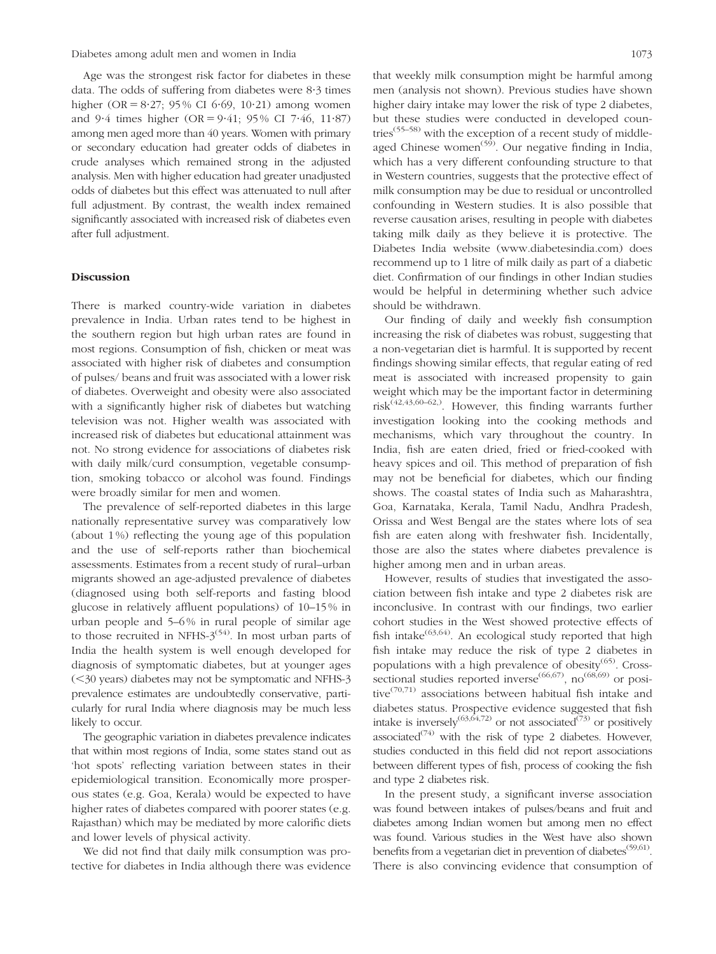Age was the strongest risk factor for diabetes in these data. The odds of suffering from diabetes were  $8.3$  times higher (OR =  $8.27$ ; 95% CI 6.69, 10.21) among women and  $9.4$  times higher (OR =  $9.41; 95\%$  CI 7.46, 11.87) among men aged more than 40 years. Women with primary or secondary education had greater odds of diabetes in crude analyses which remained strong in the adjusted analysis. Men with higher education had greater unadjusted odds of diabetes but this effect was attenuated to null after full adjustment. By contrast, the wealth index remained significantly associated with increased risk of diabetes even after full adjustment.

## Discussion

There is marked country-wide variation in diabetes prevalence in India. Urban rates tend to be highest in the southern region but high urban rates are found in most regions. Consumption of fish, chicken or meat was associated with higher risk of diabetes and consumption of pulses/ beans and fruit was associated with a lower risk of diabetes. Overweight and obesity were also associated with a significantly higher risk of diabetes but watching television was not. Higher wealth was associated with increased risk of diabetes but educational attainment was not. No strong evidence for associations of diabetes risk with daily milk/curd consumption, vegetable consumption, smoking tobacco or alcohol was found. Findings were broadly similar for men and women.

The prevalence of self-reported diabetes in this large nationally representative survey was comparatively low (about 1 %) reflecting the young age of this population and the use of self-reports rather than biochemical assessments. Estimates from a recent study of rural–urban migrants showed an age-adjusted prevalence of diabetes (diagnosed using both self-reports and fasting blood glucose in relatively affluent populations) of 10–15 % in urban people and 5–6 % in rural people of similar age to those recruited in NFHS- $3^{(54)}$ . In most urban parts of India the health system is well enough developed for diagnosis of symptomatic diabetes, but at younger ages  $(<$ 30 years) diabetes may not be symptomatic and NFHS-3 prevalence estimates are undoubtedly conservative, particularly for rural India where diagnosis may be much less likely to occur.

The geographic variation in diabetes prevalence indicates that within most regions of India, some states stand out as 'hot spots' reflecting variation between states in their epidemiological transition. Economically more prosperous states (e.g. Goa, Kerala) would be expected to have higher rates of diabetes compared with poorer states (e.g. Rajasthan) which may be mediated by more calorific diets and lower levels of physical activity.

We did not find that daily milk consumption was protective for diabetes in India although there was evidence

that weekly milk consumption might be harmful among men (analysis not shown). Previous studies have shown higher dairy intake may lower the risk of type 2 diabetes, but these studies were conducted in developed countries<sup> $(55-58)$ </sup> with the exception of a recent study of middleaged Chinese women<sup> $(59)$ </sup>. Our negative finding in India, which has a very different confounding structure to that in Western countries, suggests that the protective effect of milk consumption may be due to residual or uncontrolled confounding in Western studies. It is also possible that reverse causation arises, resulting in people with diabetes taking milk daily as they believe it is protective. The Diabetes India website (www.diabetesindia.com) does recommend up to 1 litre of milk daily as part of a diabetic diet. Confirmation of our findings in other Indian studies would be helpful in determining whether such advice should be withdrawn.

Our finding of daily and weekly fish consumption increasing the risk of diabetes was robust, suggesting that a non-vegetarian diet is harmful. It is supported by recent findings showing similar effects, that regular eating of red meat is associated with increased propensity to gain weight which may be the important factor in determining risk $(42, 43, 60 - 62)$ . However, this finding warrants further investigation looking into the cooking methods and mechanisms, which vary throughout the country. In India, fish are eaten dried, fried or fried-cooked with heavy spices and oil. This method of preparation of fish may not be beneficial for diabetes, which our finding shows. The coastal states of India such as Maharashtra, Goa, Karnataka, Kerala, Tamil Nadu, Andhra Pradesh, Orissa and West Bengal are the states where lots of sea fish are eaten along with freshwater fish. Incidentally, those are also the states where diabetes prevalence is higher among men and in urban areas.

However, results of studies that investigated the association between fish intake and type 2 diabetes risk are inconclusive. In contrast with our findings, two earlier cohort studies in the West showed protective effects of fish intake<sup> $(63,64)$ </sup>. An ecological study reported that high fish intake may reduce the risk of type 2 diabetes in populations with a high prevalence of obesity $(65)$ . Crosssectional studies reported inverse<sup>(66,67)</sup>, no<sup>(68,69)</sup> or positive<sup> $(70,71)$ </sup> associations between habitual fish intake and diabetes status. Prospective evidence suggested that fish intake is inversely<sup>(63,64,72)</sup> or not associated<sup>(73)</sup> or positively associated<sup>(74)</sup> with the risk of type 2 diabetes. However, studies conducted in this field did not report associations between different types of fish, process of cooking the fish and type 2 diabetes risk.

In the present study, a significant inverse association was found between intakes of pulses/beans and fruit and diabetes among Indian women but among men no effect was found. Various studies in the West have also shown benefits from a vegetarian diet in prevention of diabetes<sup>(59,61)</sup>. There is also convincing evidence that consumption of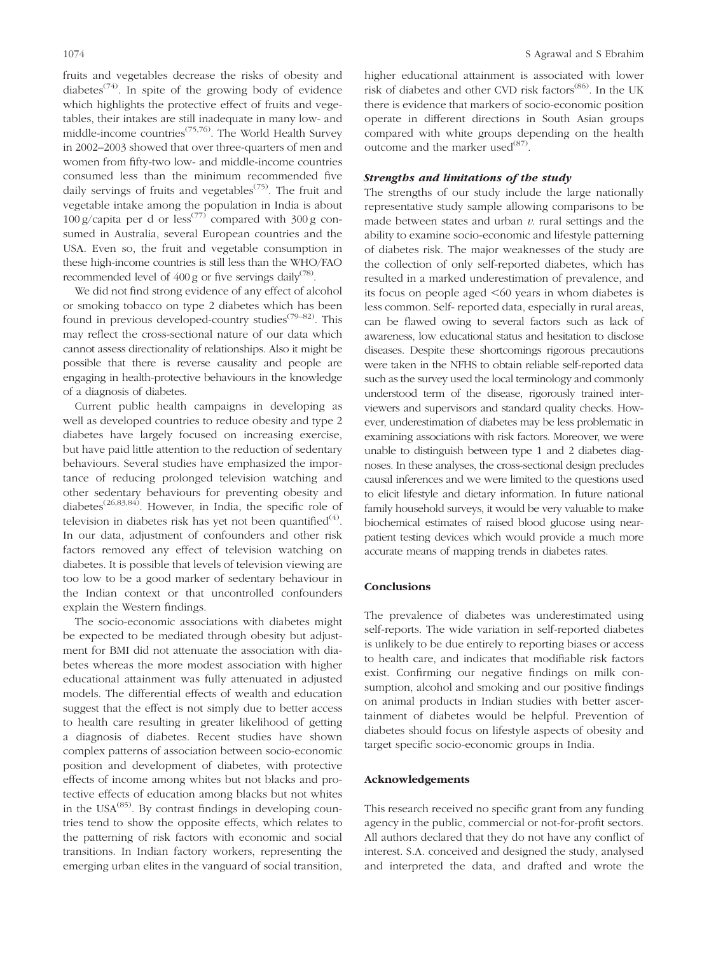fruits and vegetables decrease the risks of obesity and diabetes<sup> $(74)$ </sup>. In spite of the growing body of evidence which highlights the protective effect of fruits and vegetables, their intakes are still inadequate in many low- and middle-income countries(75,76). The World Health Survey in 2002–2003 showed that over three-quarters of men and women from fifty-two low- and middle-income countries consumed less than the minimum recommended five daily servings of fruits and vegetables<sup> $(75)$ </sup>. The fruit and vegetable intake among the population in India is about 100 g/capita per d or less<sup>(77)</sup> compared with  $300 g$  consumed in Australia, several European countries and the USA. Even so, the fruit and vegetable consumption in these high-income countries is still less than the WHO/FAO recommended level of  $400 \text{ g}$  or five servings daily<sup>(78)</sup>.

We did not find strong evidence of any effect of alcohol or smoking tobacco on type 2 diabetes which has been found in previous developed-country studies(79–82). This may reflect the cross-sectional nature of our data which cannot assess directionality of relationships. Also it might be possible that there is reverse causality and people are engaging in health-protective behaviours in the knowledge of a diagnosis of diabetes.

Current public health campaigns in developing as well as developed countries to reduce obesity and type 2 diabetes have largely focused on increasing exercise, but have paid little attention to the reduction of sedentary behaviours. Several studies have emphasized the importance of reducing prolonged television watching and other sedentary behaviours for preventing obesity and diabetes(26,83,84). However, in India, the specific role of television in diabetes risk has yet not been quantified $^{(4)}$ . In our data, adjustment of confounders and other risk factors removed any effect of television watching on diabetes. It is possible that levels of television viewing are too low to be a good marker of sedentary behaviour in the Indian context or that uncontrolled confounders explain the Western findings.

The socio-economic associations with diabetes might be expected to be mediated through obesity but adjustment for BMI did not attenuate the association with diabetes whereas the more modest association with higher educational attainment was fully attenuated in adjusted models. The differential effects of wealth and education suggest that the effect is not simply due to better access to health care resulting in greater likelihood of getting a diagnosis of diabetes. Recent studies have shown complex patterns of association between socio-economic position and development of diabetes, with protective effects of income among whites but not blacks and protective effects of education among blacks but not whites in the  $USA^{(85)}$ . By contrast findings in developing countries tend to show the opposite effects, which relates to the patterning of risk factors with economic and social transitions. In Indian factory workers, representing the emerging urban elites in the vanguard of social transition, higher educational attainment is associated with lower risk of diabetes and other CVD risk factors<sup>(86)</sup>. In the UK there is evidence that markers of socio-economic position operate in different directions in South Asian groups compared with white groups depending on the health outcome and the marker used $^{(87)}$ .

## Strengths and limitations of the study

The strengths of our study include the large nationally representative study sample allowing comparisons to be made between states and urban  $v$ . rural settings and the ability to examine socio-economic and lifestyle patterning of diabetes risk. The major weaknesses of the study are the collection of only self-reported diabetes, which has resulted in a marked underestimation of prevalence, and its focus on people aged  $<60$  years in whom diabetes is less common. Self- reported data, especially in rural areas, can be flawed owing to several factors such as lack of awareness, low educational status and hesitation to disclose diseases. Despite these shortcomings rigorous precautions were taken in the NFHS to obtain reliable self-reported data such as the survey used the local terminology and commonly understood term of the disease, rigorously trained interviewers and supervisors and standard quality checks. However, underestimation of diabetes may be less problematic in examining associations with risk factors. Moreover, we were unable to distinguish between type 1 and 2 diabetes diagnoses. In these analyses, the cross-sectional design precludes causal inferences and we were limited to the questions used to elicit lifestyle and dietary information. In future national family household surveys, it would be very valuable to make biochemical estimates of raised blood glucose using nearpatient testing devices which would provide a much more accurate means of mapping trends in diabetes rates.

#### Conclusions

The prevalence of diabetes was underestimated using self-reports. The wide variation in self-reported diabetes is unlikely to be due entirely to reporting biases or access to health care, and indicates that modifiable risk factors exist. Confirming our negative findings on milk consumption, alcohol and smoking and our positive findings on animal products in Indian studies with better ascertainment of diabetes would be helpful. Prevention of diabetes should focus on lifestyle aspects of obesity and target specific socio-economic groups in India.

#### Acknowledgements

This research received no specific grant from any funding agency in the public, commercial or not-for-profit sectors. All authors declared that they do not have any conflict of interest. S.A. conceived and designed the study, analysed and interpreted the data, and drafted and wrote the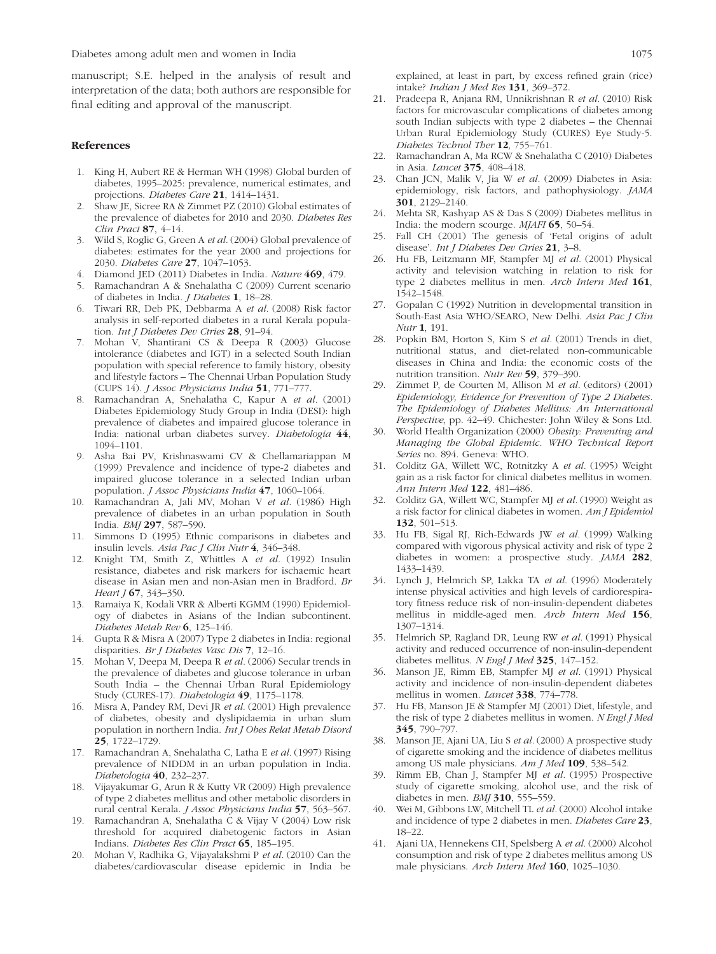manuscript; S.E. helped in the analysis of result and interpretation of the data; both authors are responsible for final editing and approval of the manuscript.

#### References

- 1. King H, Aubert RE & Herman WH (1998) Global burden of diabetes, 1995–2025: prevalence, numerical estimates, and projections. Diabetes Care 21, 1414–1431.
- 2. Shaw JE, Sicree RA & Zimmet PZ (2010) Global estimates of the prevalence of diabetes for 2010 and 2030. Diabetes Res Clin Pract 87, 4–14.
- 3. Wild S, Roglic G, Green A et al. (2004) Global prevalence of diabetes: estimates for the year 2000 and projections for 2030. Diabetes Care 27, 1047–1053.
- 4. Diamond JED (2011) Diabetes in India. Nature 469, 479.
- 5. Ramachandran A & Snehalatha C (2009) Current scenario of diabetes in India. J Diabetes 1, 18–28.
- 6. Tiwari RR, Deb PK, Debbarma A et al. (2008) Risk factor analysis in self-reported diabetes in a rural Kerala population. Int J Diabetes Dev Ctries 28, 91-94.
- 7. Mohan V, Shantirani CS & Deepa R (2003) Glucose intolerance (diabetes and IGT) in a selected South Indian population with special reference to family history, obesity and lifestyle factors – The Chennai Urban Population Study (CUPS 14). J Assoc Physicians India 51, 771–777.
- 8. Ramachandran A, Snehalatha C, Kapur A et al. (2001) Diabetes Epidemiology Study Group in India (DESI): high prevalence of diabetes and impaired glucose tolerance in India: national urban diabetes survey. Diabetologia 44, 1094–1101.
- 9. Asha Bai PV, Krishnaswami CV & Chellamariappan M (1999) Prevalence and incidence of type-2 diabetes and impaired glucose tolerance in a selected Indian urban population. *J Assoc Physicians India* 47, 1060-1064.
- Ramachandran A, Jali MV, Mohan V et al. (1986) High prevalence of diabetes in an urban population in South India. BMJ 297, 587–590.
- 11. Simmons D (1995) Ethnic comparisons in diabetes and insulin levels. Asia Pac J Clin Nutr 4, 346–348.
- 12. Knight TM, Smith Z, Whittles A et al. (1992) Insulin resistance, diabetes and risk markers for ischaemic heart disease in Asian men and non-Asian men in Bradford. Br Heart J **67**, 343-350.
- 13. Ramaiya K, Kodali VRR & Alberti KGMM (1990) Epidemiology of diabetes in Asians of the Indian subcontinent. Diabetes Metab Rev 6, 125–146.
- 14. Gupta R & Misra A (2007) Type 2 diabetes in India: regional disparities. Br J Diabetes Vasc Dis 7, 12–16.
- 15. Mohan V, Deepa M, Deepa R et al. (2006) Secular trends in the prevalence of diabetes and glucose tolerance in urban South India – the Chennai Urban Rural Epidemiology Study (CURES-17). Diabetologia 49, 1175–1178.
- 16. Misra A, Pandey RM, Devi JR et al. (2001) High prevalence of diabetes, obesity and dyslipidaemia in urban slum population in northern India. Int J Obes Relat Metab Disord 25, 1722–1729.
- 17. Ramachandran A, Snehalatha C, Latha E et al. (1997) Rising prevalence of NIDDM in an urban population in India. Diabetologia 40, 232–237.
- 18. Vijayakumar G, Arun R & Kutty VR (2009) High prevalence of type 2 diabetes mellitus and other metabolic disorders in rural central Kerala. J Assoc Physicians India 57, 563–567.
- 19. Ramachandran A, Snehalatha C & Vijay V (2004) Low risk threshold for acquired diabetogenic factors in Asian Indians. Diabetes Res Clin Pract 65, 185–195.
- 20. Mohan V, Radhika G, Vijayalakshmi P et al. (2010) Can the diabetes/cardiovascular disease epidemic in India be

explained, at least in part, by excess refined grain (rice) intake? Indian J Med Res 131, 369-372.

- 21. Pradeepa R, Anjana RM, Unnikrishnan R et al. (2010) Risk factors for microvascular complications of diabetes among south Indian subjects with type 2 diabetes – the Chennai Urban Rural Epidemiology Study (CURES) Eye Study-5. Diabetes Technol Ther 12, 755-761.
- 22. Ramachandran A, Ma RCW & Snehalatha C (2010) Diabetes in Asia. Lancet 375, 408–418.
- 23. Chan JCN, Malik V, Jia W et al. (2009) Diabetes in Asia: epidemiology, risk factors, and pathophysiology. JAMA 301, 2129–2140.
- 24. Mehta SR, Kashyap AS & Das S (2009) Diabetes mellitus in India: the modern scourge. MJAFI 65, 50–54.
- 25. Fall CH (2001) The genesis of 'Fetal origins of adult disease'. Int J Diabetes Dev Ctries 21, 3-8.
- 26. Hu FB, Leitzmann MF, Stampfer MJ et al. (2001) Physical activity and television watching in relation to risk for type 2 diabetes mellitus in men. Arch Intern Med 161, 1542–1548.
- 27. Gopalan C (1992) Nutrition in developmental transition in South-East Asia WHO/SEARO, New Delhi. Asia Pac J Clin Nutr 1, 191.
- 28. Popkin BM, Horton S, Kim S et al. (2001) Trends in diet, nutritional status, and diet-related non-communicable diseases in China and India: the economic costs of the nutrition transition. Nutr Rev 59, 379–390.
- 29. Zimmet P, de Courten M, Allison M et al. (editors) (2001) Epidemiology, Evidence for Prevention of Type 2 Diabetes. The Epidemiology of Diabetes Mellitus: An International Perspective, pp. 42–49. Chichester: John Wiley & Sons Ltd.
- 30. World Health Organization (2000) Obesity: Preventing and Managing the Global Epidemic. WHO Technical Report Series no. 894. Geneva: WHO.
- 31. Colditz GA, Willett WC, Rotnitzky A et al. (1995) Weight gain as a risk factor for clinical diabetes mellitus in women. Ann Intern Med 122, 481-486.
- Colditz GA, Willett WC, Stampfer MJ et al. (1990) Weight as a risk factor for clinical diabetes in women. Am J Epidemiol 132, 501–513.
- 33. Hu FB, Sigal RJ, Rich-Edwards JW et al. (1999) Walking compared with vigorous physical activity and risk of type 2 diabetes in women: a prospective study. JAMA 282, 1433–1439.
- 34. Lynch J, Helmrich SP, Lakka TA et al. (1996) Moderately intense physical activities and high levels of cardiorespiratory fitness reduce risk of non-insulin-dependent diabetes mellitus in middle-aged men. Arch Intern Med 156, 1307–1314.
- 35. Helmrich SP, Ragland DR, Leung RW et al. (1991) Physical activity and reduced occurrence of non-insulin-dependent diabetes mellitus. N Engl J Med 325, 147-152.
- 36. Manson JE, Rimm EB, Stampfer MJ et al. (1991) Physical activity and incidence of non-insulin-dependent diabetes mellitus in women. Lancet 338, 774–778.
- 37. Hu FB, Manson JE & Stampfer MJ (2001) Diet, lifestyle, and the risk of type 2 diabetes mellitus in women. N Engl J Med 345, 790–797.
- Manson JE, Ajani UA, Liu S et al. (2000) A prospective study of cigarette smoking and the incidence of diabetes mellitus among US male physicians. Am J Med 109, 538–542.
- Rimm EB, Chan J, Stampfer MJ et al. (1995) Prospective study of cigarette smoking, alcohol use, and the risk of diabetes in men. BMJ 310, 555-559.
- 40. Wei M, Gibbons LW, Mitchell TL et al. (2000) Alcohol intake and incidence of type 2 diabetes in men. Diabetes Care 23, 18–22.
- 41. Ajani UA, Hennekens CH, Spelsberg A et al. (2000) Alcohol consumption and risk of type 2 diabetes mellitus among US male physicians. Arch Intern Med 160, 1025–1030.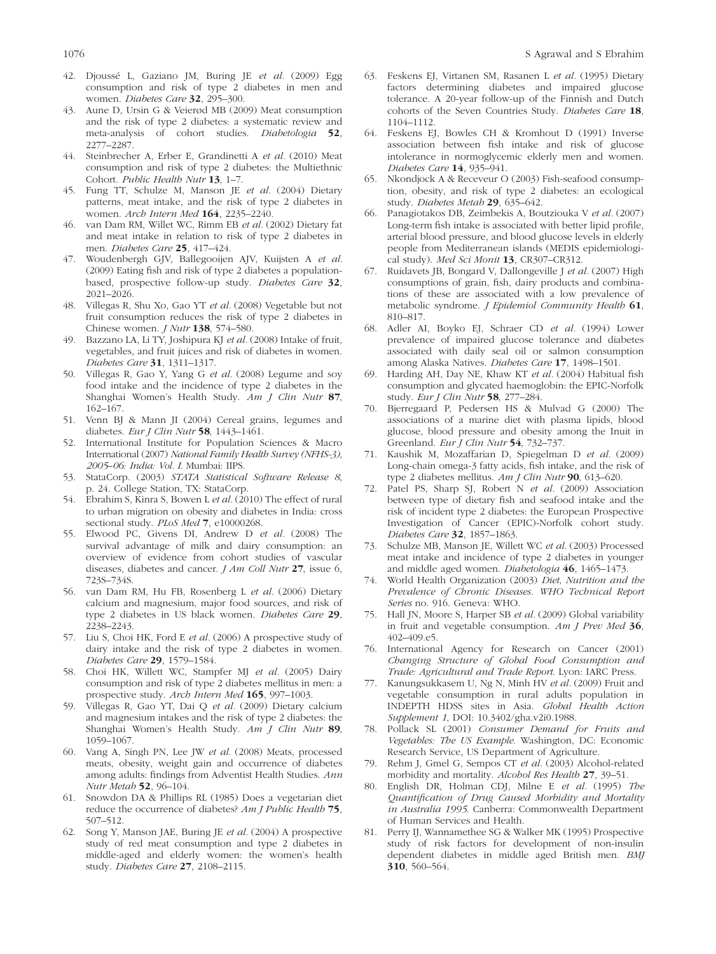- 42. Djoussé L, Gaziano JM, Buring JE et al. (2009) Egg consumption and risk of type 2 diabetes in men and women. Diabetes Care 32, 295–300.
- 43. Aune D, Ursin G & Veierød MB (2009) Meat consumption and the risk of type 2 diabetes: a systematic review and meta-analysis of cohort studies. Diabetologia 52, 2277–2287.
- 44. Steinbrecher A, Erber E, Grandinetti A et al. (2010) Meat consumption and risk of type 2 diabetes: the Multiethnic Cohort. Public Health Nutr 13, 1–7.
- 45. Fung TT, Schulze M, Manson JE et al. (2004) Dietary patterns, meat intake, and the risk of type 2 diabetes in women. Arch Intern Med 164, 2235–2240.
- 46. van Dam RM, Willet WC, Rimm EB et al. (2002) Dietary fat and meat intake in relation to risk of type 2 diabetes in men. Diabetes Care 25, 417–424.
- 47. Woudenbergh GJV, Ballegooijen AJV, Kuijsten A et al. (2009) Eating fish and risk of type 2 diabetes a populationbased, prospective follow-up study. Diabetes Care 32, 2021–2026.
- 48. Villegas R, Shu Xo, Gao YT et al. (2008) Vegetable but not fruit consumption reduces the risk of type 2 diabetes in Chinese women. J Nutr 138, 574–580.
- 49. Bazzano LA, Li TY, Joshipura KJ et al. (2008) Intake of fruit, vegetables, and fruit juices and risk of diabetes in women. Diabetes Care 31, 1311–1317.
- 50. Villegas R, Gao Y, Yang G et al. (2008) Legume and soy food intake and the incidence of type 2 diabetes in the Shanghai Women's Health Study. Am J Clin Nutr 87, 162–167.
- 51. Venn BJ & Mann JI (2004) Cereal grains, legumes and diabetes. Eur J Clin Nutr **58**, 1443-1461.
- 52. International Institute for Population Sciences & Macro International (2007) National Family Health Survey (NFHS-3), 2005–06: India: Vol. I. Mumbai: IIPS.
- 53. StataCorp. (2003) STATA Statistical Software Release 8, p. 24. College Station, TX: StataCorp.
- 54. Ebrahim S, Kinra S, Bowen L et al. (2010) The effect of rural to urban migration on obesity and diabetes in India: cross sectional study. PLoS Med 7, e10000268.
- 55. Elwood PC, Givens DI, Andrew D et al. (2008) The survival advantage of milk and dairy consumption: an overview of evidence from cohort studies of vascular diseases, diabetes and cancer. *J Am Coll Nutr* 27, issue 6, 723S–734S.
- 56. van Dam RM, Hu FB, Rosenberg L et al. (2006) Dietary calcium and magnesium, major food sources, and risk of type 2 diabetes in US black women. Diabetes Care 29, 2238–2243.
- 57. Liu S, Choi HK, Ford E et al. (2006) A prospective study of dairy intake and the risk of type 2 diabetes in women. Diabetes Care 29, 1579–1584.
- 58. Choi HK, Willett WC, Stampfer MJ et al. (2005) Dairy consumption and risk of type 2 diabetes mellitus in men: a prospective study. Arch Intern Med 165, 997–1003.
- 59. Villegas R, Gao YT, Dai Q et al. (2009) Dietary calcium and magnesium intakes and the risk of type 2 diabetes: the Shanghai Women's Health Study. Am J Clin Nutr 89, 1059–1067.
- 60. Vang A, Singh PN, Lee JW et al. (2008) Meats, processed meats, obesity, weight gain and occurrence of diabetes among adults: findings from Adventist Health Studies. Ann Nutr Metab 52, 96–104.
- 61. Snowdon DA & Phillips RL (1985) Does a vegetarian diet reduce the occurrence of diabetes? Am J Public Health 75, 507–512.
- 62. Song Y, Manson JAE, Buring JE et al. (2004) A prospective study of red meat consumption and type 2 diabetes in middle-aged and elderly women: the women's health study. Diabetes Care 27, 2108–2115.
- 63. Feskens EJ, Virtanen SM, Rasanen L et al. (1995) Dietary factors determining diabetes and impaired glucose tolerance. A 20-year follow-up of the Finnish and Dutch cohorts of the Seven Countries Study. Diabetes Care 18, 1104–1112.
- 64. Feskens EJ, Bowles CH & Kromhout D (1991) Inverse association between fish intake and risk of glucose intolerance in normoglycemic elderly men and women. Diabetes Care 14, 935–941.
- 65. Nkondjock A & Receveur O (2003) Fish-seafood consumption, obesity, and risk of type 2 diabetes: an ecological study. Diabetes Metab 29, 635–642.
- 66. Panagiotakos DB, Zeimbekis A, Boutziouka V et al. (2007) Long-term fish intake is associated with better lipid profile, arterial blood pressure, and blood glucose levels in elderly people from Mediterranean islands (MEDIS epidemiological study). Med Sci Monit 13, CR307–CR312.
- 67. Ruidavets JB, Bongard V, Dallongeville J et al. (2007) High consumptions of grain, fish, dairy products and combinations of these are associated with a low prevalence of metabolic syndrome. J Epidemiol Community Health 61, 810–817.
- 68. Adler AI, Boyko EJ, Schraer CD et al. (1994) Lower prevalence of impaired glucose tolerance and diabetes associated with daily seal oil or salmon consumption among Alaska Natives. Diabetes Care 17, 1498–1501.
- 69. Harding AH, Day NE, Khaw KT et al. (2004) Habitual fish consumption and glycated haemoglobin: the EPIC-Norfolk study. Eur J Clin Nutr 58, 277–284.
- 70. Bjerregaard P, Pedersen HS & Mulvad G (2000) The associations of a marine diet with plasma lipids, blood glucose, blood pressure and obesity among the Inuit in Greenland. Eur J Clin Nutr 54, 732-737.
- 71. Kaushik M, Mozaffarian D, Spiegelman D et al. (2009) Long-chain omega-3 fatty acids, fish intake, and the risk of type 2 diabetes mellitus. Am J Clin Nutr 90, 613–620.
- 72. Patel PS, Sharp SJ, Robert N et al. (2009) Association between type of dietary fish and seafood intake and the risk of incident type 2 diabetes: the European Prospective Investigation of Cancer (EPIC)-Norfolk cohort study. Diabetes Care 32, 1857–1863.
- 73. Schulze MB, Manson JE, Willett WC et al. (2003) Processed meat intake and incidence of type 2 diabetes in younger and middle aged women. Diabetologia 46, 1465–1473.
- 74. World Health Organization (2003) Diet, Nutrition and the Prevalence of Chronic Diseases. WHO Technical Report Series no. 916. Geneva: WHO.
- 75. Hall JN, Moore S, Harper SB et al. (2009) Global variability in fruit and vegetable consumption. Am J Prev Med 36, 402–409.e5.
- 76. International Agency for Research on Cancer (2001) Changing Structure of Global Food Consumption and Trade: Agricultural and Trade Report. Lyon: IARC Press.
- 77. Kanungsukkasem U, Ng N, Minh HV et al. (2009) Fruit and vegetable consumption in rural adults population in INDEPTH HDSS sites in Asia. Global Health Action Supplement 1, DOI: 10.3402/gha.v2i0.1988.
- 78. Pollack SL (2001) Consumer Demand for Fruits and Vegetables: The US Example. Washington, DC: Economic Research Service, US Department of Agriculture.
- 79. Rehm J, Gmel G, Sempos CT et al. (2003) Alcohol-related morbidity and mortality. Alcohol Res Health 27, 39–51.
- 80. English DR, Holman CDJ, Milne E et al. (1995) The Quantification of Drug Caused Morbidity and Mortality in Australia 1995. Canberra: Commonwealth Department of Human Services and Health.
- 81. Perry IJ, Wannamethee SG & Walker MK (1995) Prospective study of risk factors for development of non-insulin dependent diabetes in middle aged British men. BMJ 310, 560–564.